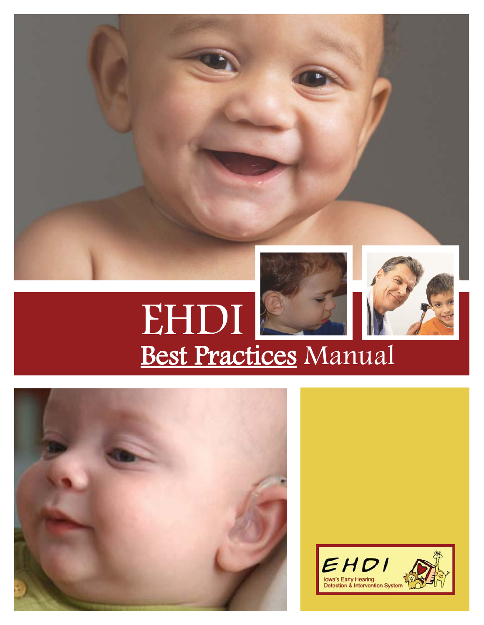

# EHDI Best Practices Manual



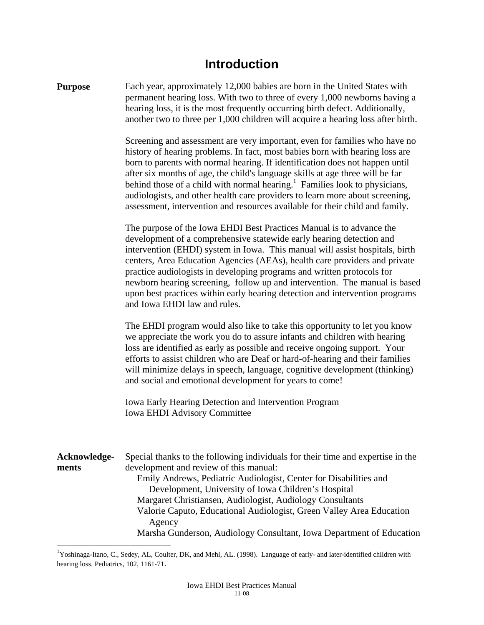### **Introduction**

**Purpose** Each year, approximately 12,000 babies are born in the United States with permanent hearing loss. With two to three of every 1,000 newborns having a hearing loss, it is the most frequently occurring birth defect. Additionally, another two to three per 1,000 children will acquire a hearing loss after birth.

> Screening and assessment are very important, even for families who have no history of hearing problems. In fact, most babies born with hearing loss are born to parents with normal hearing. If identification does not happen until after six months of age, the child's language skills at age three will be far behind those of a child with normal hearing.<sup>1</sup> Families look to physicians, audiologists, and other health care providers to learn more about screening, assessment, intervention and resources available for their child and family.

The purpose of the Iowa EHDI Best Practices Manual is to advance the development of a comprehensive statewide early hearing detection and intervention (EHDI) system in Iowa. This manual will assist hospitals, birth centers, Area Education Agencies (AEAs), health care providers and private practice audiologists in developing programs and written protocols for newborn hearing screening, follow up and intervention. The manual is based upon best practices within early hearing detection and intervention programs and Iowa EHDI law and rules.

The EHDI program would also like to take this opportunity to let you know we appreciate the work you do to assure infants and children with hearing loss are identified as early as possible and receive ongoing support. Your efforts to assist children who are Deaf or hard-of-hearing and their families will minimize delays in speech, language, cognitive development (thinking) and social and emotional development for years to come!

Iowa Early Hearing Detection and Intervention Program Iowa EHDI Advisory Committee

**Acknowledgements**  Special thanks to the following individuals for their time and expertise in the development and review of this manual: Emily Andrews, Pediatric Audiologist, Center for Disabilities and Development, University of Iowa Children's Hospital Margaret Christiansen, Audiologist, Audiology Consultants Valorie Caputo, Educational Audiologist, Green Valley Area Education Agency Marsha Gunderson, Audiology Consultant, Iowa Department of Education

<sup>1</sup>Yoshinaga-Itano, C., Sedey, AL, Coulter, DK, and Mehl, AL. (1998). Language of early- and later-identified children with hearing loss. Pediatrics, 102, 1161-71.

<u>.</u>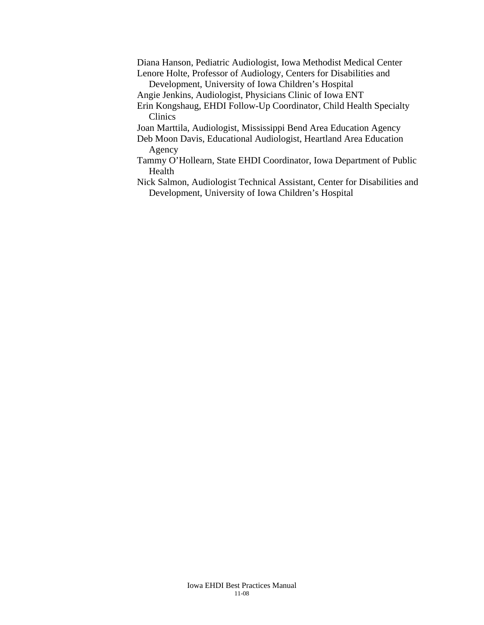Diana Hanson, Pediatric Audiologist, Iowa Methodist Medical Center Lenore Holte, Professor of Audiology, Centers for Disabilities and

Development, University of Iowa Children's Hospital

Angie Jenkins, Audiologist, Physicians Clinic of Iowa ENT

 Erin Kongshaug, EHDI Follow-Up Coordinator, Child Health Specialty Clinics

Joan Marttila, Audiologist, Mississippi Bend Area Education Agency

 Deb Moon Davis, Educational Audiologist, Heartland Area Education Agency

 Tammy O'Hollearn, State EHDI Coordinator, Iowa Department of Public Health

 Nick Salmon, Audiologist Technical Assistant, Center for Disabilities and Development, University of Iowa Children's Hospital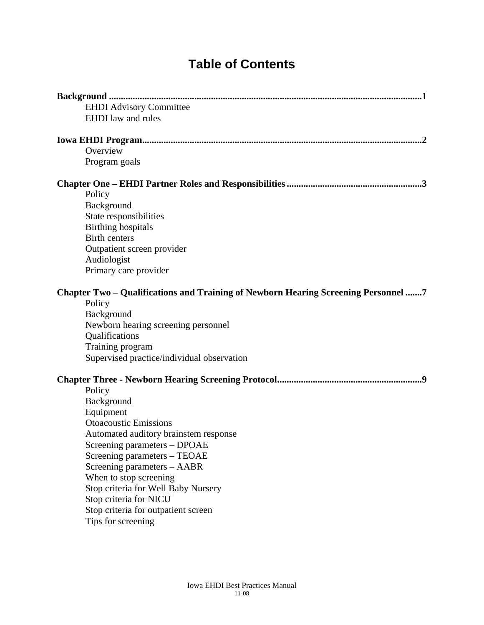# **Table of Contents**

| <b>EHDI Advisory Committee</b>                                                     |
|------------------------------------------------------------------------------------|
| <b>EHDI</b> law and rules                                                          |
|                                                                                    |
| Overview                                                                           |
| Program goals                                                                      |
|                                                                                    |
| Policy                                                                             |
| Background                                                                         |
| State responsibilities                                                             |
| <b>Birthing hospitals</b>                                                          |
| <b>Birth centers</b>                                                               |
| Outpatient screen provider                                                         |
| Audiologist                                                                        |
| Primary care provider                                                              |
| Chapter Two – Qualifications and Training of Newborn Hearing Screening Personnel 7 |
| Policy                                                                             |
| Background                                                                         |
| Newborn hearing screening personnel                                                |
| Qualifications                                                                     |
| Training program                                                                   |
| Supervised practice/individual observation                                         |
|                                                                                    |
| Policy                                                                             |
| Background                                                                         |
| Equipment                                                                          |
| <b>Otoacoustic Emissions</b>                                                       |
| Automated auditory brainstem response                                              |
| Screening parameters - DPOAE                                                       |
| Screening parameters - TEOAE                                                       |
| Screening parameters - AABR                                                        |
| When to stop screening                                                             |
| Stop criteria for Well Baby Nursery                                                |
| Stop criteria for NICU                                                             |
| Stop criteria for outpatient screen<br>Tips for screening                          |
|                                                                                    |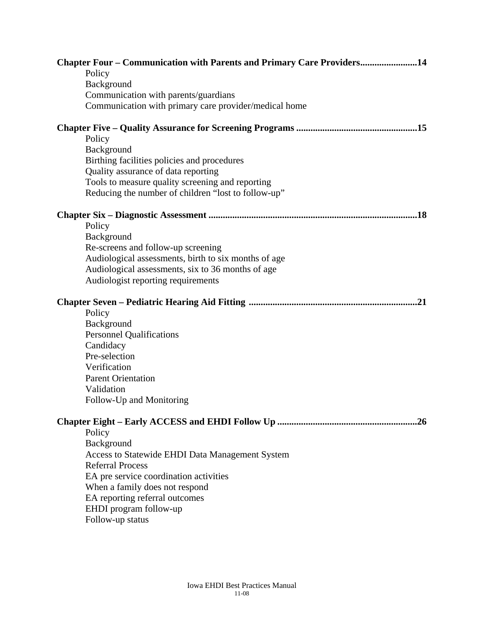| Chapter Four – Communication with Parents and Primary Care Providers14<br>Policy |
|----------------------------------------------------------------------------------|
| Background                                                                       |
| Communication with parents/guardians                                             |
| Communication with primary care provider/medical home                            |
|                                                                                  |
| Policy                                                                           |
| Background<br>Birthing facilities policies and procedures                        |
| Quality assurance of data reporting                                              |
| Tools to measure quality screening and reporting                                 |
| Reducing the number of children "lost to follow-up"                              |
|                                                                                  |
| Policy                                                                           |
| Background                                                                       |
| Re-screens and follow-up screening                                               |
| Audiological assessments, birth to six months of age                             |
| Audiological assessments, six to 36 months of age                                |
| Audiologist reporting requirements                                               |
| .21<br>Policy                                                                    |
| Background                                                                       |
| <b>Personnel Qualifications</b>                                                  |
| Candidacy                                                                        |
| Pre-selection                                                                    |
| Verification                                                                     |
| <b>Parent Orientation</b>                                                        |
| Validation                                                                       |
| Follow-Up and Monitoring                                                         |
| .26<br>Policy                                                                    |
| Background                                                                       |
| Access to Statewide EHDI Data Management System                                  |
| <b>Referral Process</b>                                                          |
| EA pre service coordination activities                                           |
| When a family does not respond                                                   |
| EA reporting referral outcomes                                                   |
| EHDI program follow-up                                                           |
| Follow-up status                                                                 |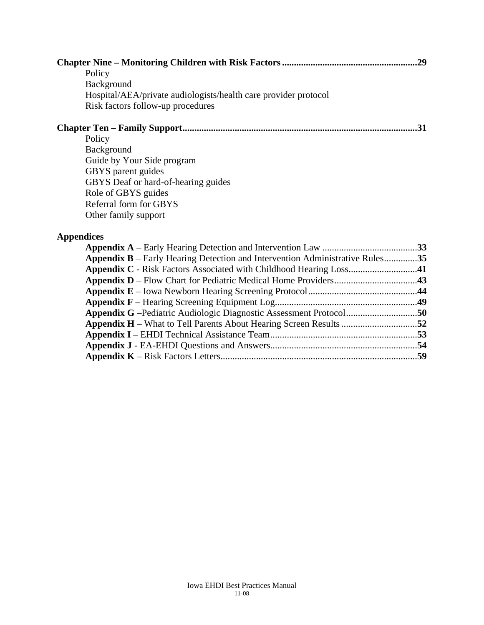| .29<br>Policy                                                   |
|-----------------------------------------------------------------|
| <b>Background</b>                                               |
| Hospital/AEA/private audiologists/health care provider protocol |
| Risk factors follow-up procedures                               |
| <b>Chapter Ten – Family Support</b><br>31                       |
| Policy                                                          |
| <b>Background</b>                                               |
| Guide by Your Side program                                      |
| GBYS parent guides                                              |
| GBYS Deaf or hard-of-hearing guides                             |
| Role of GBYS guides                                             |
| Referral form for GBYS                                          |
| Other family support                                            |

### **Appendices**

| <b>Appendix B</b> – Early Hearing Detection and Intervention Administrative Rules35 |  |
|-------------------------------------------------------------------------------------|--|
| <b>Appendix C</b> - Risk Factors Associated with Childhood Hearing Loss41           |  |
|                                                                                     |  |
|                                                                                     |  |
|                                                                                     |  |
| <b>Appendix G</b> -Pediatric Audiologic Diagnostic Assessment Protocol50            |  |
|                                                                                     |  |
|                                                                                     |  |
|                                                                                     |  |
|                                                                                     |  |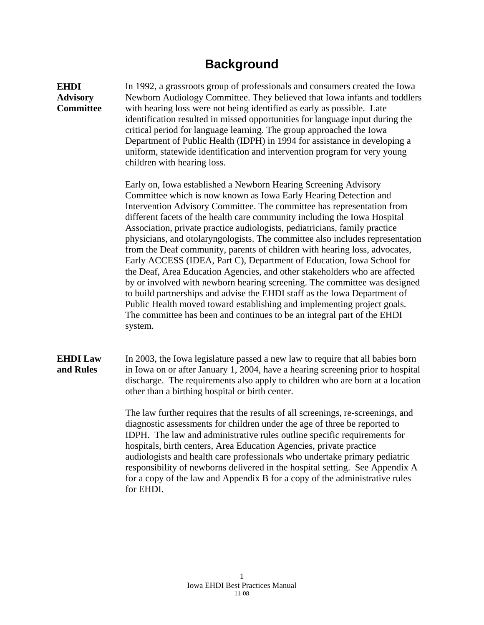### **Background**

**EHDI Advisory Committee**  In 1992, a grassroots group of professionals and consumers created the Iowa Newborn Audiology Committee. They believed that Iowa infants and toddlers with hearing loss were not being identified as early as possible. Late identification resulted in missed opportunities for language input during the critical period for language learning. The group approached the Iowa Department of Public Health (IDPH) in 1994 for assistance in developing a uniform, statewide identification and intervention program for very young children with hearing loss. Early on, Iowa established a Newborn Hearing Screening Advisory Committee which is now known as Iowa Early Hearing Detection and Intervention Advisory Committee. The committee has representation from different facets of the health care community including the Iowa Hospital Association, private practice audiologists, pediatricians, family practice physicians, and otolaryngologists. The committee also includes representation from the Deaf community, parents of children with hearing loss, advocates, Early ACCESS (IDEA, Part C), Department of Education, Iowa School for the Deaf, Area Education Agencies, and other stakeholders who are affected by or involved with newborn hearing screening. The committee was designed to build partnerships and advise the EHDI staff as the Iowa Department of Public Health moved toward establishing and implementing project goals. The committee has been and continues to be an integral part of the EHDI system. **EHDI Law and Rules**  In 2003, the Iowa legislature passed a new law to require that all babies born in Iowa on or after January 1, 2004, have a hearing screening prior to hospital discharge. The requirements also apply to children who are born at a location other than a birthing hospital or birth center. The law further requires that the results of all screenings, re-screenings, and diagnostic assessments for children under the age of three be reported to IDPH. The law and administrative rules outline specific requirements for hospitals, birth centers, Area Education Agencies, private practice audiologists and health care professionals who undertake primary pediatric responsibility of newborns delivered in the hospital setting. See Appendix A

for EHDI.

for a copy of the law and Appendix B for a copy of the administrative rules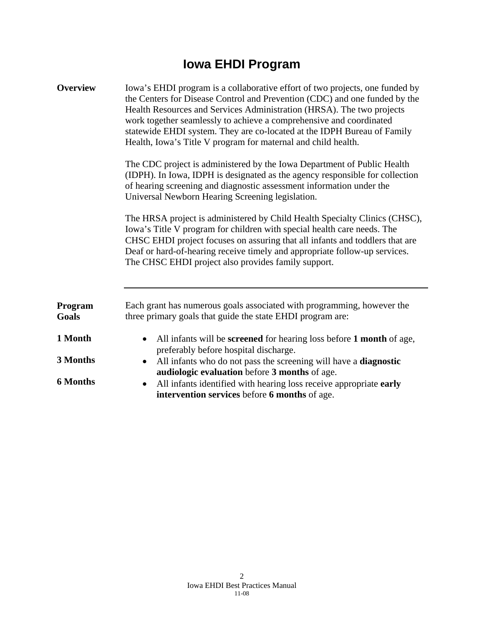# **Iowa EHDI Program**

| <b>Overview</b>  | Iowa's EHDI program is a collaborative effort of two projects, one funded by<br>the Centers for Disease Control and Prevention (CDC) and one funded by the<br>Health Resources and Services Administration (HRSA). The two projects<br>work together seamlessly to achieve a comprehensive and coordinated<br>statewide EHDI system. They are co-located at the IDPH Bureau of Family<br>Health, Iowa's Title V program for maternal and child health. |
|------------------|--------------------------------------------------------------------------------------------------------------------------------------------------------------------------------------------------------------------------------------------------------------------------------------------------------------------------------------------------------------------------------------------------------------------------------------------------------|
|                  | The CDC project is administered by the Iowa Department of Public Health<br>(IDPH). In Iowa, IDPH is designated as the agency responsible for collection<br>of hearing screening and diagnostic assessment information under the<br>Universal Newborn Hearing Screening legislation.                                                                                                                                                                    |
|                  | The HRSA project is administered by Child Health Specialty Clinics (CHSC),<br>Iowa's Title V program for children with special health care needs. The<br>CHSC EHDI project focuses on assuring that all infants and toddlers that are<br>Deaf or hard-of-hearing receive timely and appropriate follow-up services.<br>The CHSC EHDI project also provides family support.                                                                             |
| Program<br>Goals | Each grant has numerous goals associated with programming, however the<br>three primary goals that guide the state EHDI program are:                                                                                                                                                                                                                                                                                                                   |
| 1 Month          | All infants will be <b>screened</b> for hearing loss before 1 month of age,<br>preferably before hospital discharge.                                                                                                                                                                                                                                                                                                                                   |
| 3 Months         | All infants who do not pass the screening will have a diagnostic<br>audiologic evaluation before 3 months of age.                                                                                                                                                                                                                                                                                                                                      |
| <b>6 Months</b>  | All infants identified with hearing loss receive appropriate early<br>$\bullet$<br>intervention services before 6 months of age.                                                                                                                                                                                                                                                                                                                       |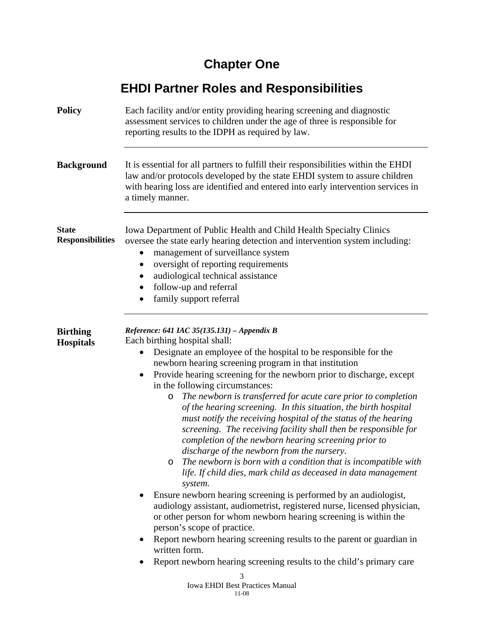# **Chapter One**

# **EHDI Partner Roles and Responsibilities**

| <b>Policy</b>                           | Each facility and/or entity providing hearing screening and diagnostic<br>assessment services to children under the age of three is responsible for<br>reporting results to the IDPH as required by law.                                                                                                                                                                                                                                                                                                                                                                                                                                                                                                                                                                                                                                                                                                                                                                                                                                                                                                                                                                                                                                                                                |
|-----------------------------------------|-----------------------------------------------------------------------------------------------------------------------------------------------------------------------------------------------------------------------------------------------------------------------------------------------------------------------------------------------------------------------------------------------------------------------------------------------------------------------------------------------------------------------------------------------------------------------------------------------------------------------------------------------------------------------------------------------------------------------------------------------------------------------------------------------------------------------------------------------------------------------------------------------------------------------------------------------------------------------------------------------------------------------------------------------------------------------------------------------------------------------------------------------------------------------------------------------------------------------------------------------------------------------------------------|
| <b>Background</b>                       | It is essential for all partners to fulfill their responsibilities within the EHDI<br>law and/or protocols developed by the state EHDI system to assure children<br>with hearing loss are identified and entered into early intervention services in<br>a timely manner.                                                                                                                                                                                                                                                                                                                                                                                                                                                                                                                                                                                                                                                                                                                                                                                                                                                                                                                                                                                                                |
| <b>State</b><br><b>Responsibilities</b> | <b>Iowa Department of Public Health and Child Health Specialty Clinics</b><br>oversee the state early hearing detection and intervention system including:<br>management of surveillance system<br>oversight of reporting requirements<br>$\bullet$<br>audiological technical assistance<br>follow-up and referral<br>family support referral                                                                                                                                                                                                                                                                                                                                                                                                                                                                                                                                                                                                                                                                                                                                                                                                                                                                                                                                           |
| <b>Birthing</b><br><b>Hospitals</b>     | Reference: 641 IAC 35(135.131) - Appendix B<br>Each birthing hospital shall:<br>Designate an employee of the hospital to be responsible for the<br>newborn hearing screening program in that institution<br>Provide hearing screening for the newborn prior to discharge, except<br>in the following circumstances:<br>The newborn is transferred for acute care prior to completion<br>$\circ$<br>of the hearing screening. In this situation, the birth hospital<br>must notify the receiving hospital of the status of the hearing<br>screening. The receiving facility shall then be responsible for<br>completion of the newborn hearing screening prior to<br>discharge of the newborn from the nursery.<br>The newborn is born with a condition that is incompatible with<br>life. If child dies, mark child as deceased in data management<br>system.<br>Ensure newborn hearing screening is performed by an audiologist,<br>audiology assistant, audiometrist, registered nurse, licensed physician,<br>or other person for whom newborn hearing screening is within the<br>person's scope of practice.<br>Report newborn hearing screening results to the parent or guardian in<br>written form.<br>Report newborn hearing screening results to the child's primary care<br>3 |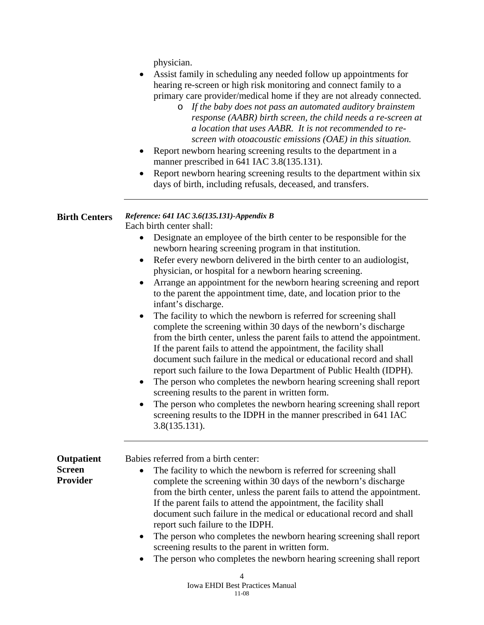physician.

|                                                | Assist family in scheduling any needed follow up appointments for<br>hearing re-screen or high risk monitoring and connect family to a<br>primary care provider/medical home if they are not already connected.<br>If the baby does not pass an automated auditory brainstem<br>$\circ$<br>response (AABR) birth screen, the child needs a re-screen at<br>a location that uses AABR. It is not recommended to re-<br>screen with otoacoustic emissions $(OAE)$ in this situation.<br>Report newborn hearing screening results to the department in a<br>manner prescribed in 641 IAC 3.8(135.131).<br>Report newborn hearing screening results to the department within six<br>days of birth, including refusals, deceased, and transfers.                                                                                                                                                                                                                                                                                                                                                                                                                                                                                                          |
|------------------------------------------------|------------------------------------------------------------------------------------------------------------------------------------------------------------------------------------------------------------------------------------------------------------------------------------------------------------------------------------------------------------------------------------------------------------------------------------------------------------------------------------------------------------------------------------------------------------------------------------------------------------------------------------------------------------------------------------------------------------------------------------------------------------------------------------------------------------------------------------------------------------------------------------------------------------------------------------------------------------------------------------------------------------------------------------------------------------------------------------------------------------------------------------------------------------------------------------------------------------------------------------------------------|
| <b>Birth Centers</b>                           | Reference: 641 IAC 3.6(135.131)-Appendix B<br>Each birth center shall:<br>Designate an employee of the birth center to be responsible for the<br>newborn hearing screening program in that institution.<br>Refer every newborn delivered in the birth center to an audiologist,<br>physician, or hospital for a newborn hearing screening.<br>Arrange an appointment for the newborn hearing screening and report<br>to the parent the appointment time, date, and location prior to the<br>infant's discharge.<br>The facility to which the newborn is referred for screening shall<br>complete the screening within 30 days of the newborn's discharge<br>from the birth center, unless the parent fails to attend the appointment.<br>If the parent fails to attend the appointment, the facility shall<br>document such failure in the medical or educational record and shall<br>report such failure to the Iowa Department of Public Health (IDPH).<br>The person who completes the newborn hearing screening shall report<br>screening results to the parent in written form.<br>The person who completes the newborn hearing screening shall report<br>screening results to the IDPH in the manner prescribed in 641 IAC<br>$3.8(135.131)$ . |
| <b>Outpatient</b><br><b>Screen</b><br>Provider | Babies referred from a birth center:<br>The facility to which the newborn is referred for screening shall<br>complete the screening within 30 days of the newborn's discharge<br>from the birth center, unless the parent fails to attend the appointment.<br>If the parent fails to attend the appointment, the facility shall<br>document such failure in the medical or educational record and shall<br>report such failure to the IDPH.<br>The person who completes the newborn hearing screening shall report<br>٠<br>screening results to the parent in written form.<br>The person who completes the newborn hearing screening shall report<br>4                                                                                                                                                                                                                                                                                                                                                                                                                                                                                                                                                                                              |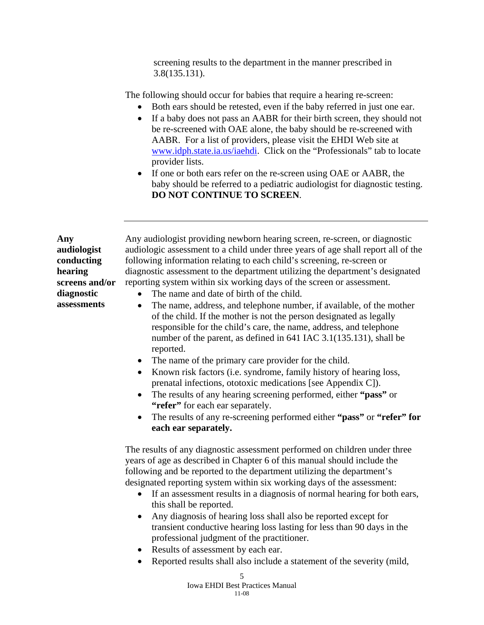screening results to the department in the manner prescribed in 3.8(135.131).

The following should occur for babies that require a hearing re-screen:

- Both ears should be retested, even if the baby referred in just one ear.
- If a baby does not pass an AABR for their birth screen, they should not be re-screened with OAE alone, the baby should be re-screened with AABR. For a list of providers, please visit the EHDI Web site at www.idph.state.ia.us/iaehdi. Click on the "Professionals" tab to locate provider lists.
- If one or both ears refer on the re-screen using OAE or AABR, the baby should be referred to a pediatric audiologist for diagnostic testing. **DO NOT CONTINUE TO SCREEN**.

**screens and/or**  Any audiologist providing newborn hearing screen, re-screen, or diagnostic audiologic assessment to a child under three years of age shall report all of the following information relating to each child's screening, re-screen or diagnostic assessment to the department utilizing the department's designated reporting system within six working days of the screen or assessment.

The name and date of birth of the child.

**Any** 

**audiologist conducting hearing** 

**diagnostic assessments** 

- The name, address, and telephone number, if available, of the mother of the child. If the mother is not the person designated as legally responsible for the child's care, the name, address, and telephone number of the parent, as defined in 641 IAC 3.1(135.131), shall be reported.
- The name of the primary care provider for the child.
- Known risk factors (i.e. syndrome, family history of hearing loss, prenatal infections, ototoxic medications [see Appendix C]).
- The results of any hearing screening performed, either **"pass"** or **"refer"** for each ear separately.
- The results of any re-screening performed either **"pass"** or **"refer" for each ear separately.**

The results of any diagnostic assessment performed on children under three years of age as described in Chapter 6 of this manual should include the following and be reported to the department utilizing the department's designated reporting system within six working days of the assessment:

- If an assessment results in a diagnosis of normal hearing for both ears, this shall be reported.
- Any diagnosis of hearing loss shall also be reported except for transient conductive hearing loss lasting for less than 90 days in the professional judgment of the practitioner.
- Results of assessment by each ear.
- Reported results shall also include a statement of the severity (mild,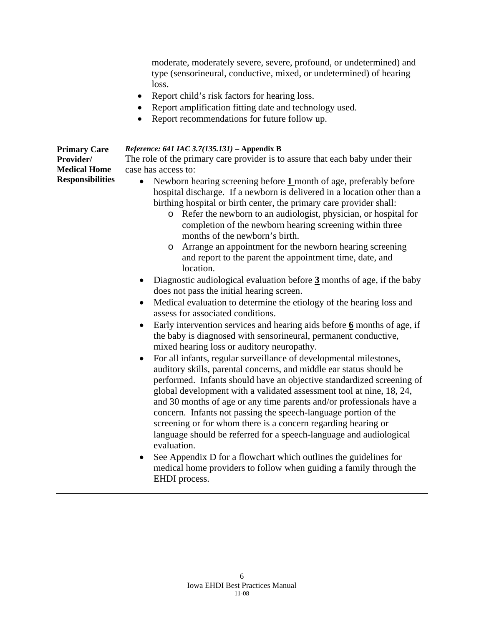moderate, moderately severe, severe, profound, or undetermined) and type (sensorineural, conductive, mixed, or undetermined) of hearing loss.

- Report child's risk factors for hearing loss.
- Report amplification fitting date and technology used.
- Report recommendations for future follow up.

| Reference: 641 IAC 3.7(135.131) - Appendix B<br>The role of the primary care provider is to assure that each baby under their<br>case has access to:<br>Newborn hearing screening before $1$ month of age, preferably before<br>$\bullet$                                                                                                                                                                                                                                                                                                                                                                                                                                                                                                                                                                                                                                                                                                                                                                                                                                                                                                                                                                                                                                                                                                                                                                                                    |
|----------------------------------------------------------------------------------------------------------------------------------------------------------------------------------------------------------------------------------------------------------------------------------------------------------------------------------------------------------------------------------------------------------------------------------------------------------------------------------------------------------------------------------------------------------------------------------------------------------------------------------------------------------------------------------------------------------------------------------------------------------------------------------------------------------------------------------------------------------------------------------------------------------------------------------------------------------------------------------------------------------------------------------------------------------------------------------------------------------------------------------------------------------------------------------------------------------------------------------------------------------------------------------------------------------------------------------------------------------------------------------------------------------------------------------------------|
| hospital discharge. If a newborn is delivered in a location other than a<br>birthing hospital or birth center, the primary care provider shall:<br>Refer the newborn to an audiologist, physician, or hospital for<br>$\circ$<br>completion of the newborn hearing screening within three<br>months of the newborn's birth.<br>o Arrange an appointment for the newborn hearing screening<br>and report to the parent the appointment time, date, and<br>location.<br>Diagnostic audiological evaluation before $\frac{3}{2}$ months of age, if the baby<br>٠<br>does not pass the initial hearing screen.<br>Medical evaluation to determine the etiology of the hearing loss and<br>$\bullet$<br>assess for associated conditions.<br>Early intervention services and hearing aids before $6$ months of age, if<br>the baby is diagnosed with sensorineural, permanent conductive,<br>mixed hearing loss or auditory neuropathy.<br>For all infants, regular surveillance of developmental milestones,<br>auditory skills, parental concerns, and middle ear status should be<br>performed. Infants should have an objective standardized screening of<br>global development with a validated assessment tool at nine, 18, 24,<br>and 30 months of age or any time parents and/or professionals have a<br>concern. Infants not passing the speech-language portion of the<br>screening or for whom there is a concern regarding hearing or |
| language should be referred for a speech-language and audiological<br>evaluation.<br>See Appendix D for a flowchart which outlines the guidelines for<br>medical home providers to follow when guiding a family through the<br>EHDI process.                                                                                                                                                                                                                                                                                                                                                                                                                                                                                                                                                                                                                                                                                                                                                                                                                                                                                                                                                                                                                                                                                                                                                                                                 |
|                                                                                                                                                                                                                                                                                                                                                                                                                                                                                                                                                                                                                                                                                                                                                                                                                                                                                                                                                                                                                                                                                                                                                                                                                                                                                                                                                                                                                                              |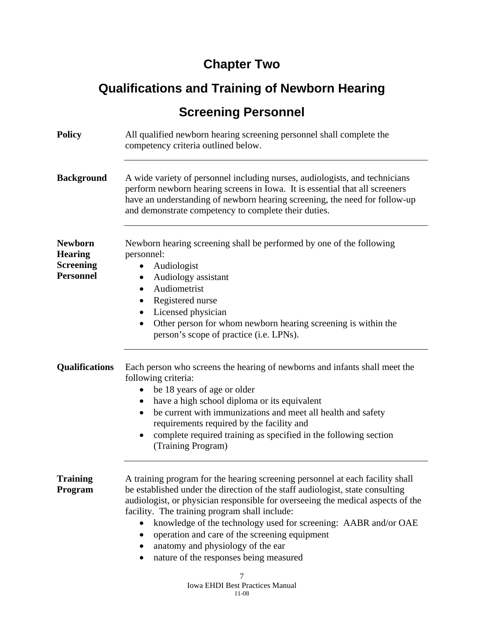# **Chapter Two**

# **Qualifications and Training of Newborn Hearing Screening Personnel**

| <b>Policy</b>                                                            | All qualified newborn hearing screening personnel shall complete the<br>competency criteria outlined below.                                                                                                                                                                                                                                                                                                                                                                                                             |
|--------------------------------------------------------------------------|-------------------------------------------------------------------------------------------------------------------------------------------------------------------------------------------------------------------------------------------------------------------------------------------------------------------------------------------------------------------------------------------------------------------------------------------------------------------------------------------------------------------------|
| <b>Background</b>                                                        | A wide variety of personnel including nurses, audiologists, and technicians<br>perform newborn hearing screens in Iowa. It is essential that all screeners<br>have an understanding of newborn hearing screening, the need for follow-up<br>and demonstrate competency to complete their duties.                                                                                                                                                                                                                        |
| <b>Newborn</b><br><b>Hearing</b><br><b>Screening</b><br><b>Personnel</b> | Newborn hearing screening shall be performed by one of the following<br>personnel:<br>Audiologist<br>$\bullet$<br>Audiology assistant<br>Audiometrist<br>Registered nurse<br>Licensed physician<br>$\bullet$<br>Other person for whom newborn hearing screening is within the<br>$\bullet$<br>person's scope of practice (i.e. LPNs).                                                                                                                                                                                   |
| Qualifications                                                           | Each person who screens the hearing of newborns and infants shall meet the<br>following criteria:<br>be 18 years of age or older<br>have a high school diploma or its equivalent<br>be current with immunizations and meet all health and safety<br>requirements required by the facility and<br>complete required training as specified in the following section<br>$\bullet$<br>(Training Program)                                                                                                                    |
| <b>Training</b><br>Program                                               | A training program for the hearing screening personnel at each facility shall<br>be established under the direction of the staff audiologist, state consulting<br>audiologist, or physician responsible for overseeing the medical aspects of the<br>facility. The training program shall include:<br>knowledge of the technology used for screening: AABR and/or OAE<br>operation and care of the screening equipment<br>$\bullet$<br>anatomy and physiology of the ear<br>nature of the responses being measured<br>7 |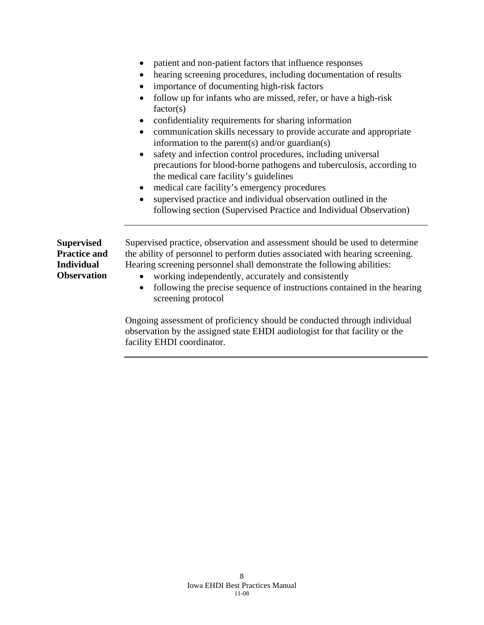- patient and non-patient factors that influence responses
- hearing screening procedures, including documentation of results
- importance of documenting high-risk factors
- follow up for infants who are missed, refer, or have a high-risk factor(s)
- confidentiality requirements for sharing information
- communication skills necessary to provide accurate and appropriate information to the parent(s) and/or guardian(s)
- safety and infection control procedures, including universal precautions for blood-borne pathogens and tuberculosis, according to the medical care facility's guidelines
- medical care facility's emergency procedures
- supervised practice and individual observation outlined in the following section (Supervised Practice and Individual Observation)

**Supervised Practice and Individual Observation** 

Supervised practice, observation and assessment should be used to determine the ability of personnel to perform duties associated with hearing screening. Hearing screening personnel shall demonstrate the following abilities:

- working independently, accurately and consistently
- following the precise sequence of instructions contained in the hearing screening protocol

Ongoing assessment of proficiency should be conducted through individual observation by the assigned state EHDI audiologist for that facility or the facility EHDI coordinator.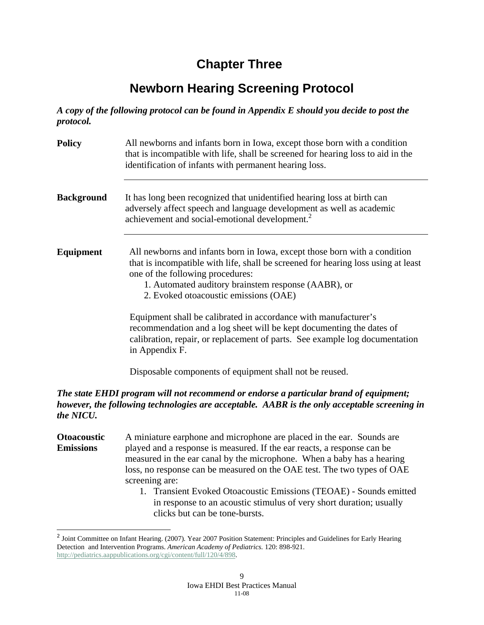# **Chapter Three**

# **Newborn Hearing Screening Protocol**

*A copy of the following protocol can be found in Appendix E should you decide to post the protocol.* 

| <b>Policy</b>     | All newborns and infants born in Iowa, except those born with a condition<br>that is incompatible with life, shall be screened for hearing loss to aid in the<br>identification of infants with permanent hearing loss.                                                                                                                                                                                                                                                                                                                        |
|-------------------|------------------------------------------------------------------------------------------------------------------------------------------------------------------------------------------------------------------------------------------------------------------------------------------------------------------------------------------------------------------------------------------------------------------------------------------------------------------------------------------------------------------------------------------------|
| <b>Background</b> | It has long been recognized that unidentified hearing loss at birth can<br>adversely affect speech and language development as well as academic<br>achievement and social-emotional development. <sup>2</sup>                                                                                                                                                                                                                                                                                                                                  |
| Equipment         | All newborns and infants born in Iowa, except those born with a condition<br>that is incompatible with life, shall be screened for hearing loss using at least<br>one of the following procedures:<br>1. Automated auditory brainstem response (AABR), or<br>2. Evoked otoacoustic emissions (OAE)<br>Equipment shall be calibrated in accordance with manufacturer's<br>recommendation and a log sheet will be kept documenting the dates of<br>calibration, repair, or replacement of parts. See example log documentation<br>in Appendix F. |

Disposable components of equipment shall not be reused.

#### *The state EHDI program will not recommend or endorse a particular brand of equipment; however, the following technologies are acceptable. AABR is the only acceptable screening in the NICU.*

- **Otoacoustic Emissions**  A miniature earphone and microphone are placed in the ear. Sounds are played and a response is measured. If the ear reacts, a response can be measured in the ear canal by the microphone. When a baby has a hearing loss, no response can be measured on the OAE test. The two types of OAE screening are:
	- 1. Transient Evoked Otoacoustic Emissions (TEOAE) Sounds emitted in response to an acoustic stimulus of very short duration; usually clicks but can be tone-bursts.

 $\overline{a}$ 

<sup>&</sup>lt;sup>2</sup> Joint Committee on Infant Hearing. (2007). Year 2007 Position Statement: Principles and Guidelines for Early Hearing Detection and Intervention Programs. *American Academy of Pediatrics.* 120: 898-921. http://pediatrics.aappublications.org/cgi/content/full/120/4/898.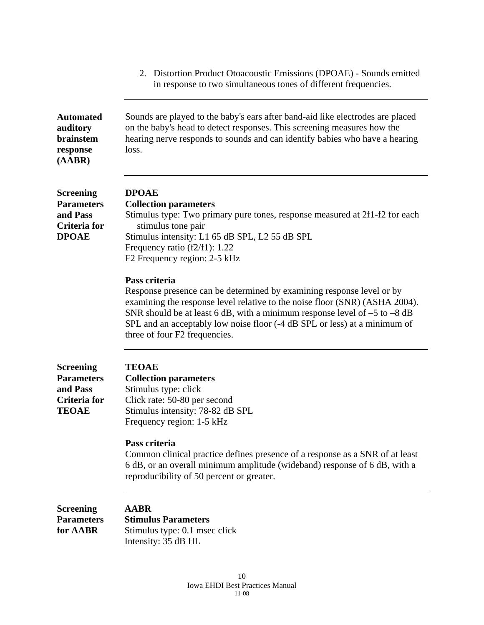|                                                                                          | 2. Distortion Product Otoacoustic Emissions (DPOAE) - Sounds emitted<br>in response to two simultaneous tones of different frequencies.                                                                                                                                                                                                                              |
|------------------------------------------------------------------------------------------|----------------------------------------------------------------------------------------------------------------------------------------------------------------------------------------------------------------------------------------------------------------------------------------------------------------------------------------------------------------------|
| <b>Automated</b><br>auditory<br>brainstem<br>response<br>(AABR)                          | Sounds are played to the baby's ears after band-aid like electrodes are placed<br>on the baby's head to detect responses. This screening measures how the<br>hearing nerve responds to sounds and can identify babies who have a hearing<br>loss.                                                                                                                    |
| <b>Screening</b>                                                                         | <b>DPOAE</b>                                                                                                                                                                                                                                                                                                                                                         |
| <b>Parameters</b><br>and Pass<br><b>Criteria</b> for<br><b>DPOAE</b>                     | <b>Collection parameters</b><br>Stimulus type: Two primary pure tones, response measured at 2f1-f2 for each<br>stimulus tone pair<br>Stimulus intensity: L1 65 dB SPL, L2 55 dB SPL<br>Frequency ratio $(f2/f1)$ : 1.22                                                                                                                                              |
|                                                                                          | F2 Frequency region: 2-5 kHz                                                                                                                                                                                                                                                                                                                                         |
|                                                                                          | Pass criteria<br>Response presence can be determined by examining response level or by<br>examining the response level relative to the noise floor (SNR) (ASHA 2004).<br>SNR should be at least 6 dB, with a minimum response level of $-5$ to $-8$ dB<br>SPL and an acceptably low noise floor (-4 dB SPL or less) at a minimum of<br>three of four F2 frequencies. |
| <b>Screening</b><br><b>Parameters</b><br>and Pass<br><b>Criteria</b> for<br><b>TEOAE</b> | <b>TEOAE</b><br><b>Collection parameters</b><br>Stimulus type: click<br>Click rate: 50-80 per second<br>Stimulus intensity: 78-82 dB SPL<br>Frequency region: 1-5 kHz                                                                                                                                                                                                |
|                                                                                          | Pass criteria<br>Common clinical practice defines presence of a response as a SNR of at least<br>6 dB, or an overall minimum amplitude (wideband) response of 6 dB, with a<br>reproducibility of 50 percent or greater.                                                                                                                                              |
| <b>Screening</b><br><b>Parameters</b><br>for AABR                                        | <b>AABR</b><br><b>Stimulus Parameters</b><br>Stimulus type: 0.1 msec click<br>Intensity: 35 dB HL                                                                                                                                                                                                                                                                    |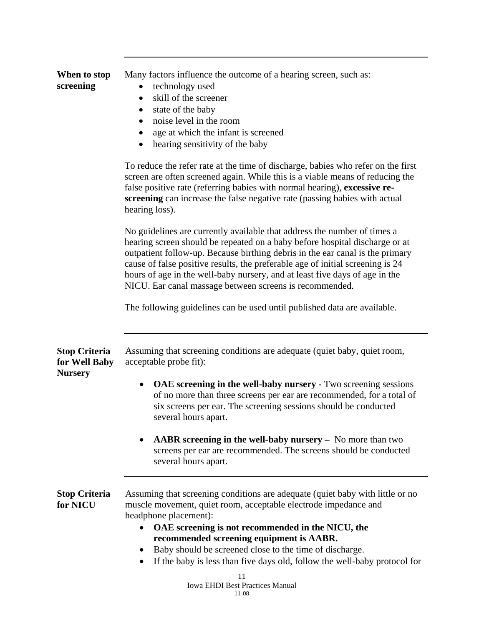| Many factors influence the outcome of a hearing screen, such as:<br>technology used<br>skill of the screener<br>$\bullet$<br>state of the baby<br>$\bullet$<br>noise level in the room<br>age at which the infant is screened<br>hearing sensitivity of the baby                                                                                                                                                                                                     |
|----------------------------------------------------------------------------------------------------------------------------------------------------------------------------------------------------------------------------------------------------------------------------------------------------------------------------------------------------------------------------------------------------------------------------------------------------------------------|
| To reduce the refer rate at the time of discharge, babies who refer on the first<br>screen are often screened again. While this is a viable means of reducing the<br>false positive rate (referring babies with normal hearing), excessive re-<br>screening can increase the false negative rate (passing babies with actual<br>hearing loss).                                                                                                                       |
| No guidelines are currently available that address the number of times a<br>hearing screen should be repeated on a baby before hospital discharge or at<br>outpatient follow-up. Because birthing debris in the ear canal is the primary<br>cause of false positive results, the preferable age of initial screening is 24<br>hours of age in the well-baby nursery, and at least five days of age in the<br>NICU. Ear canal massage between screens is recommended. |
| The following guidelines can be used until published data are available.                                                                                                                                                                                                                                                                                                                                                                                             |
| Assuming that screening conditions are adequate (quiet baby, quiet room,<br>acceptable probe fit):                                                                                                                                                                                                                                                                                                                                                                   |
| <b>OAE</b> screening in the well-baby nursery - Two screening sessions<br>$\bullet$<br>of no more than three screens per ear are recommended, for a total of<br>six screens per ear. The screening sessions should be conducted<br>several hours apart.                                                                                                                                                                                                              |
| <b>AABR</b> screening in the well-baby nursery – No more than two<br>screens per ear are recommended. The screens should be conducted<br>several hours apart.                                                                                                                                                                                                                                                                                                        |
| Assuming that screening conditions are adequate (quiet baby with little or no<br>muscle movement, quiet room, acceptable electrode impedance and<br>headphone placement):<br>OAE screening is not recommended in the NICU, the<br>$\bullet$<br>recommended screening equipment is AABR.                                                                                                                                                                              |
|                                                                                                                                                                                                                                                                                                                                                                                                                                                                      |

#### Iowa EHDI Best Practices Manual 11-08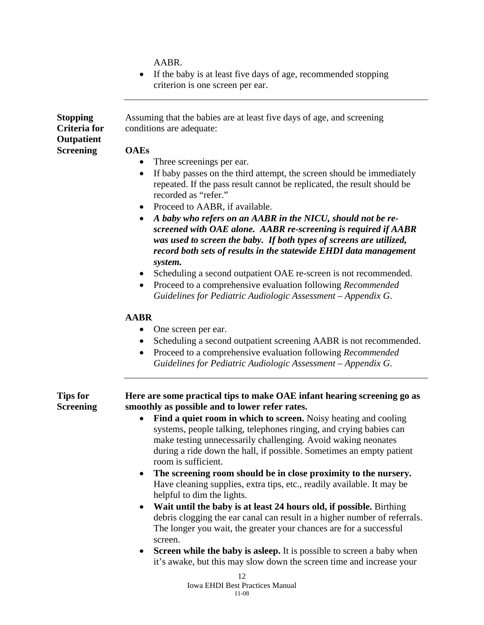AABR.

• If the baby is at least five days of age, recommended stopping criterion is one screen per ear.

**Stopping Criteria for**  Assuming that the babies are at least five days of age, and screening conditions are adequate:

#### **OAEs**

**Outpatient Screening** 

- Three screenings per ear.
- If baby passes on the third attempt, the screen should be immediately repeated. If the pass result cannot be replicated, the result should be recorded as "refer."
- Proceed to AABR, if available.
- *A baby who refers on an AABR in the NICU, should not be rescreened with OAE alone. AABR re-screening is required if AABR was used to screen the baby. If both types of screens are utilized, record both sets of results in the statewide EHDI data management system.*
- Scheduling a second outpatient OAE re-screen is not recommended.
- Proceed to a comprehensive evaluation following *Recommended Guidelines for Pediatric Audiologic Assessment – Appendix G*.

#### **AABR**

- One screen per ear.
- Scheduling a second outpatient screening AABR is not recommended.
- Proceed to a comprehensive evaluation following *Recommended Guidelines for Pediatric Audiologic Assessment – Appendix G*.

**Tips for Screening** 

**Here are some practical tips to make OAE infant hearing screening go as smoothly as possible and to lower refer rates.** 

- **Find a quiet room in which to screen.** Noisy heating and cooling systems, people talking, telephones ringing, and crying babies can make testing unnecessarily challenging. Avoid waking neonates during a ride down the hall, if possible. Sometimes an empty patient room is sufficient.
- **The screening room should be in close proximity to the nursery.**  Have cleaning supplies, extra tips, etc., readily available. It may be helpful to dim the lights.
- **Wait until the baby is at least 24 hours old, if possible.** Birthing debris clogging the ear canal can result in a higher number of referrals. The longer you wait, the greater your chances are for a successful screen.
- **Screen while the baby is asleep.** It is possible to screen a baby when it's awake, but this may slow down the screen time and increase your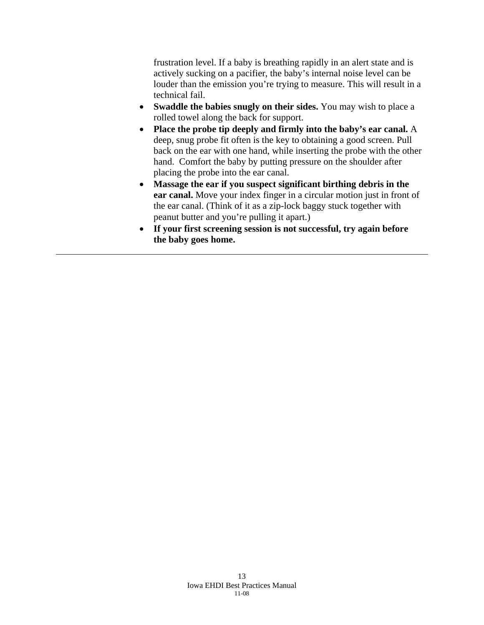frustration level. If a baby is breathing rapidly in an alert state and is actively sucking on a pacifier, the baby's internal noise level can be louder than the emission you're trying to measure. This will result in a technical fail.

- **Swaddle the babies snugly on their sides.** You may wish to place a rolled towel along the back for support.
- **Place the probe tip deeply and firmly into the baby's ear canal.** A deep, snug probe fit often is the key to obtaining a good screen. Pull back on the ear with one hand, while inserting the probe with the other hand. Comfort the baby by putting pressure on the shoulder after placing the probe into the ear canal.
- **Massage the ear if you suspect significant birthing debris in the ear canal.** Move your index finger in a circular motion just in front of the ear canal. (Think of it as a zip-lock baggy stuck together with peanut butter and you're pulling it apart.)
- **If your first screening session is not successful, try again before the baby goes home.**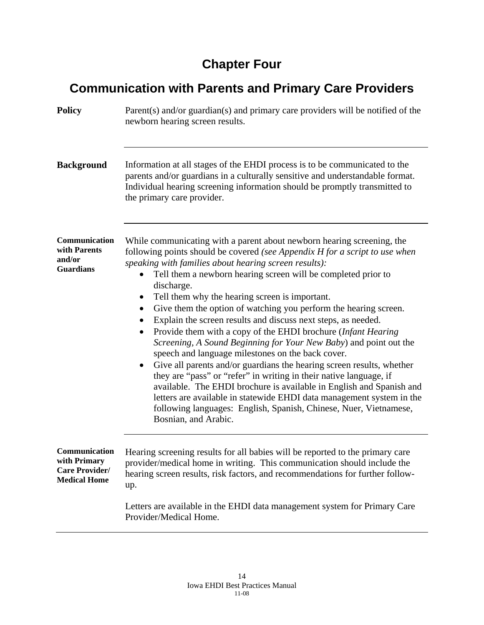# **Chapter Four**

# **Communication with Parents and Primary Care Providers**

| <b>Policy</b>                                                                 | Parent(s) and/or guardian(s) and primary care providers will be notified of the<br>newborn hearing screen results.                                                                                                                                                                                                                                                                                                                                                                                                                                                                                                                                                                                                                                                                                                                                                                                                                                                                                                                                                                             |  |
|-------------------------------------------------------------------------------|------------------------------------------------------------------------------------------------------------------------------------------------------------------------------------------------------------------------------------------------------------------------------------------------------------------------------------------------------------------------------------------------------------------------------------------------------------------------------------------------------------------------------------------------------------------------------------------------------------------------------------------------------------------------------------------------------------------------------------------------------------------------------------------------------------------------------------------------------------------------------------------------------------------------------------------------------------------------------------------------------------------------------------------------------------------------------------------------|--|
| <b>Background</b>                                                             | Information at all stages of the EHDI process is to be communicated to the<br>parents and/or guardians in a culturally sensitive and understandable format.<br>Individual hearing screening information should be promptly transmitted to<br>the primary care provider.                                                                                                                                                                                                                                                                                                                                                                                                                                                                                                                                                                                                                                                                                                                                                                                                                        |  |
| Communication<br>with Parents<br>and/or<br><b>Guardians</b>                   | While communicating with a parent about newborn hearing screening, the<br>following points should be covered (see Appendix H for a script to use when<br>speaking with families about hearing screen results):<br>Tell them a newborn hearing screen will be completed prior to<br>discharge.<br>Tell them why the hearing screen is important.<br>$\bullet$<br>Give them the option of watching you perform the hearing screen.<br>٠<br>Explain the screen results and discuss next steps, as needed.<br>Provide them with a copy of the EHDI brochure (Infant Hearing<br>Screening, A Sound Beginning for Your New Baby) and point out the<br>speech and language milestones on the back cover.<br>Give all parents and/or guardians the hearing screen results, whether<br>they are "pass" or "refer" in writing in their native language, if<br>available. The EHDI brochure is available in English and Spanish and<br>letters are available in statewide EHDI data management system in the<br>following languages: English, Spanish, Chinese, Nuer, Vietnamese,<br>Bosnian, and Arabic. |  |
| Communication<br>with Primary<br><b>Care Provider/</b><br><b>Medical Home</b> | Hearing screening results for all babies will be reported to the primary care<br>provider/medical home in writing. This communication should include the<br>hearing screen results, risk factors, and recommendations for further follow-<br>up.                                                                                                                                                                                                                                                                                                                                                                                                                                                                                                                                                                                                                                                                                                                                                                                                                                               |  |
|                                                                               | Letters are available in the EHDI data management system for Primary Care<br>Provider/Medical Home.                                                                                                                                                                                                                                                                                                                                                                                                                                                                                                                                                                                                                                                                                                                                                                                                                                                                                                                                                                                            |  |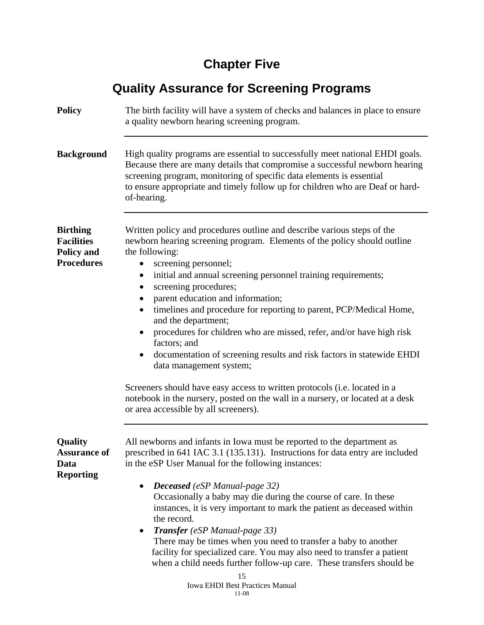# **Chapter Five**

|                                                                                | <b>Quality Assurance for Screening Programs</b>                                                                                                                                                                                                                                                                                                                                                                                                                                                                                                                                                                                                                        |
|--------------------------------------------------------------------------------|------------------------------------------------------------------------------------------------------------------------------------------------------------------------------------------------------------------------------------------------------------------------------------------------------------------------------------------------------------------------------------------------------------------------------------------------------------------------------------------------------------------------------------------------------------------------------------------------------------------------------------------------------------------------|
| <b>Policy</b>                                                                  | The birth facility will have a system of checks and balances in place to ensure<br>a quality newborn hearing screening program.                                                                                                                                                                                                                                                                                                                                                                                                                                                                                                                                        |
| <b>Background</b>                                                              | High quality programs are essential to successfully meet national EHDI goals.<br>Because there are many details that compromise a successful newborn hearing<br>screening program, monitoring of specific data elements is essential<br>to ensure appropriate and timely follow up for children who are Deaf or hard-<br>of-hearing.                                                                                                                                                                                                                                                                                                                                   |
| <b>Birthing</b><br><b>Facilities</b><br><b>Policy and</b><br><b>Procedures</b> | Written policy and procedures outline and describe various steps of the<br>newborn hearing screening program. Elements of the policy should outline<br>the following:<br>screening personnel;<br>$\bullet$<br>initial and annual screening personnel training requirements;<br>$\bullet$<br>screening procedures;<br>٠<br>parent education and information;<br>timelines and procedure for reporting to parent, PCP/Medical Home,<br>and the department;<br>procedures for children who are missed, refer, and/or have high risk<br>٠<br>factors; and<br>documentation of screening results and risk factors in statewide EHDI<br>$\bullet$<br>data management system; |
|                                                                                | Screeners should have easy access to written protocols (i.e. located in a<br>notebook in the nursery, posted on the wall in a nursery, or located at a desk<br>or area accessible by all screeners).                                                                                                                                                                                                                                                                                                                                                                                                                                                                   |
| Quality<br><b>Assurance of</b><br>Data<br><b>Reporting</b>                     | All newborns and infants in Iowa must be reported to the department as<br>prescribed in 641 IAC 3.1 (135.131). Instructions for data entry are included<br>in the eSP User Manual for the following instances:<br><b>Deceased</b> (eSP Manual-page 32)<br>$\bullet$<br>Occasionally a baby may die during the course of care. In these<br>instances, it is very important to mark the patient as deceased within<br>the record.<br><b>Transfer</b> (eSP Manual-page 33)                                                                                                                                                                                                |
|                                                                                | There may be times when you need to transfer a baby to another<br>facility for specialized care. You may also need to transfer a patient<br>when a child needs further follow-up care. These transfers should be<br>15<br>Iowa EHDI Best Practices Manual                                                                                                                                                                                                                                                                                                                                                                                                              |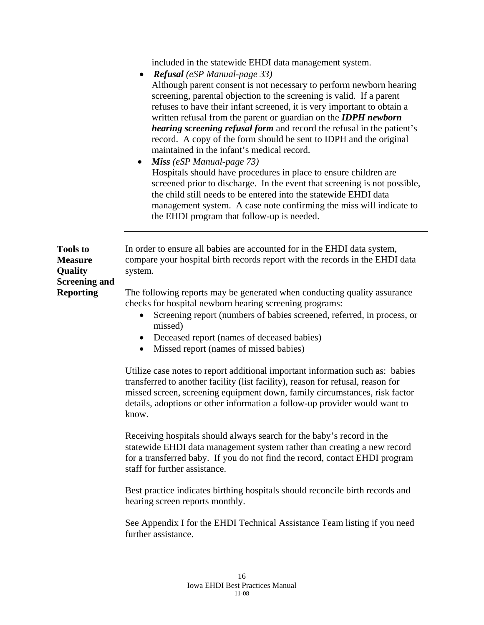included in the statewide EHDI data management system.

|                                                                                          | menaded in the state which Littlet data management system.                                                                                                                                                                                                                                                                                                                                                                                                                                                                                                                                                                                                                                                                                                                                                                                                                                                                       |
|------------------------------------------------------------------------------------------|----------------------------------------------------------------------------------------------------------------------------------------------------------------------------------------------------------------------------------------------------------------------------------------------------------------------------------------------------------------------------------------------------------------------------------------------------------------------------------------------------------------------------------------------------------------------------------------------------------------------------------------------------------------------------------------------------------------------------------------------------------------------------------------------------------------------------------------------------------------------------------------------------------------------------------|
|                                                                                          | <b>Refusal</b> (eSP Manual-page 33)<br>Although parent consent is not necessary to perform newborn hearing<br>screening, parental objection to the screening is valid. If a parent<br>refuses to have their infant screened, it is very important to obtain a<br>written refusal from the parent or guardian on the <b>IDPH</b> newborn<br><i>hearing screening refusal form</i> and record the refusal in the patient's<br>record. A copy of the form should be sent to IDPH and the original<br>maintained in the infant's medical record.<br>Miss (eSP Manual-page 73)<br>$\bullet$<br>Hospitals should have procedures in place to ensure children are<br>screened prior to discharge. In the event that screening is not possible,<br>the child still needs to be entered into the statewide EHDI data<br>management system. A case note confirming the miss will indicate to<br>the EHDI program that follow-up is needed. |
| <b>Tools to</b><br><b>Measure</b><br>Quality<br><b>Screening and</b><br><b>Reporting</b> | In order to ensure all babies are accounted for in the EHDI data system,<br>compare your hospital birth records report with the records in the EHDI data<br>system.<br>The following reports may be generated when conducting quality assurance<br>checks for hospital newborn hearing screening programs:<br>Screening report (numbers of babies screened, referred, in process, or<br>missed)<br>Deceased report (names of deceased babies)<br>$\bullet$<br>Missed report (names of missed babies)<br>$\bullet$                                                                                                                                                                                                                                                                                                                                                                                                                |
|                                                                                          | Utilize case notes to report additional important information such as: babies<br>transferred to another facility (list facility), reason for refusal, reason for<br>missed screen, screening equipment down, family circumstances, risk factor<br>details, adoptions or other information a follow-up provider would want to<br>know.                                                                                                                                                                                                                                                                                                                                                                                                                                                                                                                                                                                            |
|                                                                                          | Receiving hospitals should always search for the baby's record in the<br>statewide EHDI data management system rather than creating a new record<br>for a transferred baby. If you do not find the record, contact EHDI program<br>staff for further assistance.                                                                                                                                                                                                                                                                                                                                                                                                                                                                                                                                                                                                                                                                 |
|                                                                                          | Best practice indicates birthing hospitals should reconcile birth records and<br>hearing screen reports monthly.                                                                                                                                                                                                                                                                                                                                                                                                                                                                                                                                                                                                                                                                                                                                                                                                                 |
|                                                                                          | See Appendix I for the EHDI Technical Assistance Team listing if you need<br>further assistance.                                                                                                                                                                                                                                                                                                                                                                                                                                                                                                                                                                                                                                                                                                                                                                                                                                 |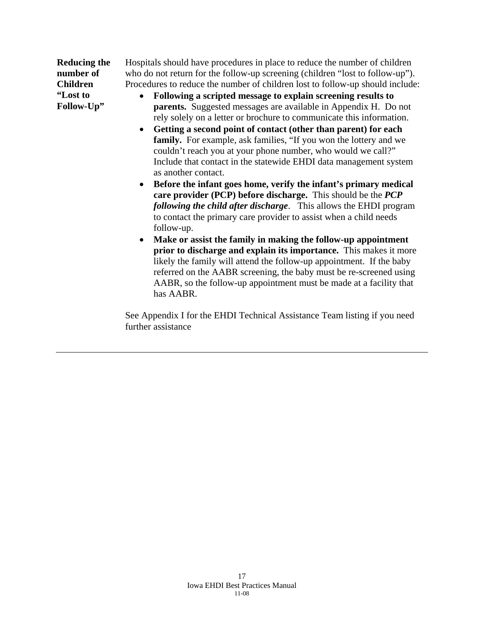**Reducing the number of Children "Lost to Follow-Up"** 

Hospitals should have procedures in place to reduce the number of children who do not return for the follow-up screening (children "lost to follow-up"). Procedures to reduce the number of children lost to follow-up should include:

- **Following a scripted message to explain screening results to parents.** Suggested messages are available in Appendix H. Do not rely solely on a letter or brochure to communicate this information.
- **Getting a second point of contact (other than parent) for each**  family. For example, ask families, "If you won the lottery and we couldn't reach you at your phone number, who would we call?" Include that contact in the statewide EHDI data management system as another contact.
- **Before the infant goes home, verify the infant's primary medical care provider (PCP) before discharge.** This should be the *PCP following the child after discharge*. This allows the EHDI program to contact the primary care provider to assist when a child needs follow-up.
- **Make or assist the family in making the follow-up appointment prior to discharge and explain its importance.** This makes it more likely the family will attend the follow-up appointment. If the baby referred on the AABR screening, the baby must be re-screened using AABR, so the follow-up appointment must be made at a facility that has AABR.

See Appendix I for the EHDI Technical Assistance Team listing if you need further assistance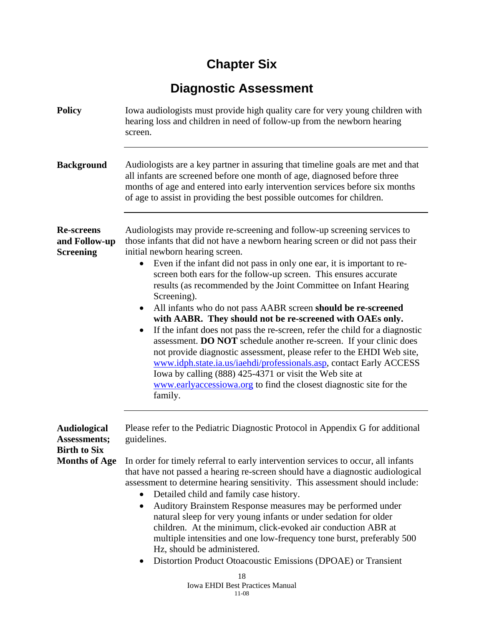# **Chapter Six**

# **Diagnostic Assessment**

| <b>Policy</b>                                                                      | Iowa audiologists must provide high quality care for very young children with<br>hearing loss and children in need of follow-up from the newborn hearing<br>screen.                                                                                                                                                                                                                                                                                                                                                                                                                                                                                                                                                                                                                                                                                                                                                                                                                                                                        |
|------------------------------------------------------------------------------------|--------------------------------------------------------------------------------------------------------------------------------------------------------------------------------------------------------------------------------------------------------------------------------------------------------------------------------------------------------------------------------------------------------------------------------------------------------------------------------------------------------------------------------------------------------------------------------------------------------------------------------------------------------------------------------------------------------------------------------------------------------------------------------------------------------------------------------------------------------------------------------------------------------------------------------------------------------------------------------------------------------------------------------------------|
| <b>Background</b>                                                                  | Audiologists are a key partner in assuring that timeline goals are met and that<br>all infants are screened before one month of age, diagnosed before three<br>months of age and entered into early intervention services before six months<br>of age to assist in providing the best possible outcomes for children.                                                                                                                                                                                                                                                                                                                                                                                                                                                                                                                                                                                                                                                                                                                      |
| <b>Re-screens</b><br>and Follow-up<br><b>Screening</b>                             | Audiologists may provide re-screening and follow-up screening services to<br>those infants that did not have a newborn hearing screen or did not pass their<br>initial newborn hearing screen.<br>Even if the infant did not pass in only one ear, it is important to re-<br>$\bullet$<br>screen both ears for the follow-up screen. This ensures accurate<br>results (as recommended by the Joint Committee on Infant Hearing<br>Screening).<br>All infants who do not pass AABR screen should be re-screened<br>$\bullet$<br>with AABR. They should not be re-screened with OAEs only.<br>If the infant does not pass the re-screen, refer the child for a diagnostic<br>assessment. DO NOT schedule another re-screen. If your clinic does<br>not provide diagnostic assessment, please refer to the EHDI Web site,<br>www.idph.state.ia.us/iaehdi/professionals.asp, contact Early ACCESS<br>Iowa by calling (888) 425-4371 or visit the Web site at<br>www.earlyaccessiowa.org to find the closest diagnostic site for the<br>family. |
| <b>Audiological</b><br>Assessments;<br><b>Birth to Six</b><br><b>Months of Age</b> | Please refer to the Pediatric Diagnostic Protocol in Appendix G for additional<br>guidelines.<br>In order for timely referral to early intervention services to occur, all infants<br>that have not passed a hearing re-screen should have a diagnostic audiological<br>assessment to determine hearing sensitivity. This assessment should include:<br>Detailed child and family case history.<br>Auditory Brainstem Response measures may be performed under<br>$\bullet$<br>natural sleep for very young infants or under sedation for older<br>children. At the minimum, click-evoked air conduction ABR at<br>multiple intensities and one low-frequency tone burst, preferably 500<br>Hz, should be administered.<br>Distortion Product Otoacoustic Emissions (DPOAE) or Transient                                                                                                                                                                                                                                                   |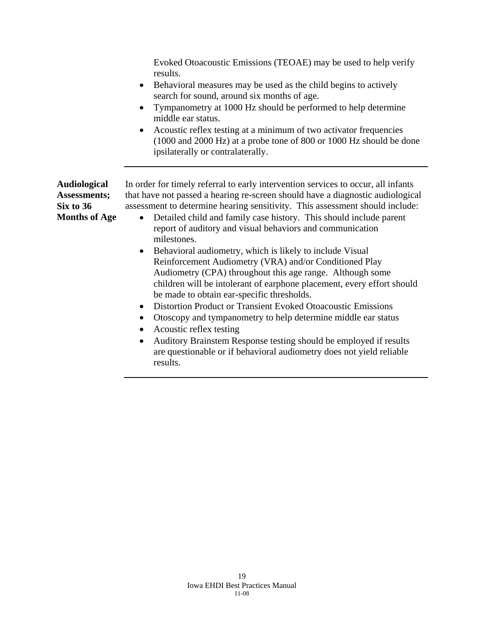Evoked Otoacoustic Emissions (TEOAE) may be used to help verify results. • Behavioral measures may be used as the child begins to actively search for sound, around six months of age. • Tympanometry at 1000 Hz should be performed to help determine middle ear status. • Acoustic reflex testing at a minimum of two activator frequencies (1000 and 2000 Hz) at a probe tone of 800 or 1000 Hz should be done ipsilaterally or contralaterally. **Audiological Assessments; Six to 36 Months of Age**  In order for timely referral to early intervention services to occur, all infants that have not passed a hearing re-screen should have a diagnostic audiological assessment to determine hearing sensitivity. This assessment should include: • Detailed child and family case history. This should include parent report of auditory and visual behaviors and communication milestones. • Behavioral audiometry, which is likely to include Visual Reinforcement Audiometry (VRA) and/or Conditioned Play Audiometry (CPA) throughout this age range. Although some children will be intolerant of earphone placement, every effort should be made to obtain ear-specific thresholds. • Distortion Product or Transient Evoked Otoacoustic Emissions • Otoscopy and tympanometry to help determine middle ear status • Acoustic reflex testing • Auditory Brainstem Response testing should be employed if results are questionable or if behavioral audiometry does not yield reliable results.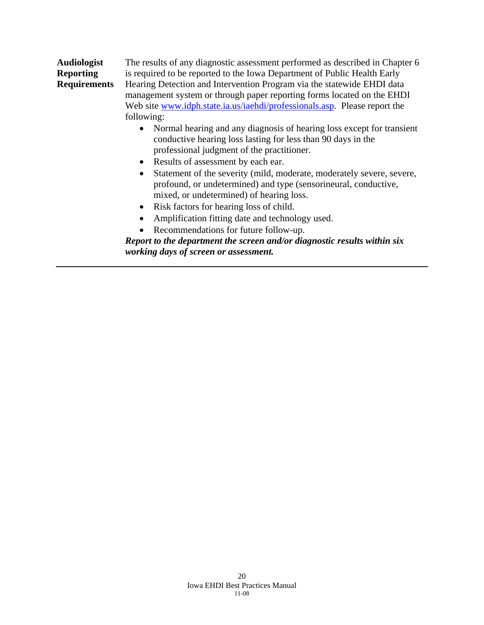**Audiologist Reporting Requirements**  The results of any diagnostic assessment performed as described in Chapter 6 is required to be reported to the Iowa Department of Public Health Early Hearing Detection and Intervention Program via the statewide EHDI data management system or through paper reporting forms located on the EHDI Web site www.idph.state.ia.us/iaehdi/professionals.asp. Please report the following:

- Normal hearing and any diagnosis of hearing loss except for transient conductive hearing loss lasting for less than 90 days in the professional judgment of the practitioner.
- Results of assessment by each ear.
- Statement of the severity (mild, moderate, moderately severe, severe, profound, or undetermined) and type (sensorineural, conductive, mixed, or undetermined) of hearing loss.
- Risk factors for hearing loss of child.
- Amplification fitting date and technology used.
- Recommendations for future follow-up.

*Report to the department the screen and/or diagnostic results within six working days of screen or assessment.*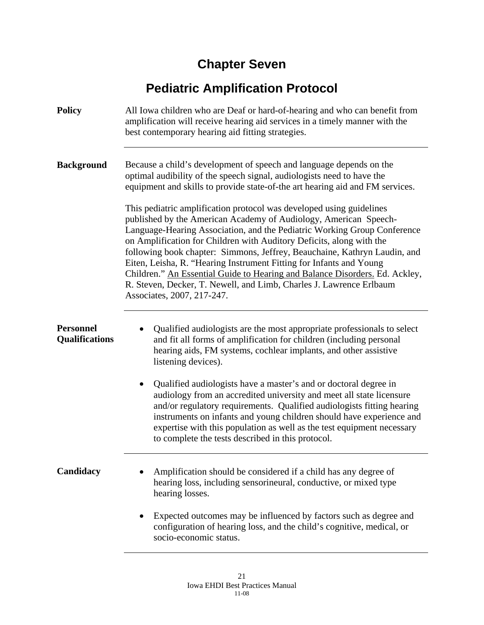# **Chapter Seven**

# **Pediatric Amplification Protocol**

| <b>Policy</b>                             | All Iowa children who are Deaf or hard-of-hearing and who can benefit from<br>amplification will receive hearing aid services in a timely manner with the<br>best contemporary hearing aid fitting strategies.                                                                                                                                                                                                                                                                                                                                                                                                                       |
|-------------------------------------------|--------------------------------------------------------------------------------------------------------------------------------------------------------------------------------------------------------------------------------------------------------------------------------------------------------------------------------------------------------------------------------------------------------------------------------------------------------------------------------------------------------------------------------------------------------------------------------------------------------------------------------------|
| <b>Background</b>                         | Because a child's development of speech and language depends on the<br>optimal audibility of the speech signal, audiologists need to have the<br>equipment and skills to provide state-of-the art hearing aid and FM services.                                                                                                                                                                                                                                                                                                                                                                                                       |
|                                           | This pediatric amplification protocol was developed using guidelines<br>published by the American Academy of Audiology, American Speech-<br>Language-Hearing Association, and the Pediatric Working Group Conference<br>on Amplification for Children with Auditory Deficits, along with the<br>following book chapter: Simmons, Jeffrey, Beauchaine, Kathryn Laudin, and<br>Eiten, Leisha, R. "Hearing Instrument Fitting for Infants and Young<br>Children." An Essential Guide to Hearing and Balance Disorders. Ed. Ackley,<br>R. Steven, Decker, T. Newell, and Limb, Charles J. Lawrence Erlbaum<br>Associates, 2007, 217-247. |
| <b>Personnel</b><br><b>Qualifications</b> | Qualified audiologists are the most appropriate professionals to select<br>$\bullet$<br>and fit all forms of amplification for children (including personal<br>hearing aids, FM systems, cochlear implants, and other assistive<br>listening devices).                                                                                                                                                                                                                                                                                                                                                                               |
|                                           | Qualified audiologists have a master's and or doctoral degree in<br>$\bullet$<br>audiology from an accredited university and meet all state licensure<br>and/or regulatory requirements. Qualified audiologists fitting hearing<br>instruments on infants and young children should have experience and<br>expertise with this population as well as the test equipment necessary<br>to complete the tests described in this protocol.                                                                                                                                                                                               |
| Candidacy                                 | Amplification should be considered if a child has any degree of<br>hearing loss, including sensorineural, conductive, or mixed type<br>hearing losses.                                                                                                                                                                                                                                                                                                                                                                                                                                                                               |
|                                           | Expected outcomes may be influenced by factors such as degree and<br>configuration of hearing loss, and the child's cognitive, medical, or<br>socio-economic status.                                                                                                                                                                                                                                                                                                                                                                                                                                                                 |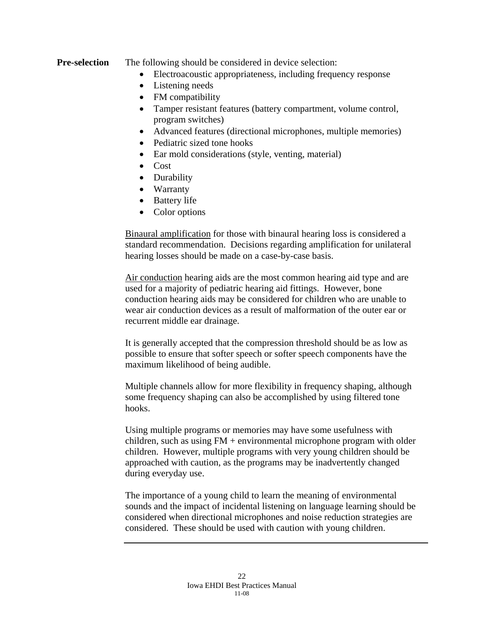#### **Pre-selection** The following should be considered in device selection:

- Electroacoustic appropriateness, including frequency response
- Listening needs
- FM compatibility
- Tamper resistant features (battery compartment, volume control, program switches)
- Advanced features (directional microphones, multiple memories)
- Pediatric sized tone hooks
- Ear mold considerations (style, venting, material)
- Cost
- Durability
- Warranty
- Battery life
- Color options

Binaural amplification for those with binaural hearing loss is considered a standard recommendation. Decisions regarding amplification for unilateral hearing losses should be made on a case-by-case basis.

Air conduction hearing aids are the most common hearing aid type and are used for a majority of pediatric hearing aid fittings. However, bone conduction hearing aids may be considered for children who are unable to wear air conduction devices as a result of malformation of the outer ear or recurrent middle ear drainage.

It is generally accepted that the compression threshold should be as low as possible to ensure that softer speech or softer speech components have the maximum likelihood of being audible.

Multiple channels allow for more flexibility in frequency shaping, although some frequency shaping can also be accomplished by using filtered tone hooks.

Using multiple programs or memories may have some usefulness with children, such as using FM + environmental microphone program with older children. However, multiple programs with very young children should be approached with caution, as the programs may be inadvertently changed during everyday use.

The importance of a young child to learn the meaning of environmental sounds and the impact of incidental listening on language learning should be considered when directional microphones and noise reduction strategies are considered. These should be used with caution with young children.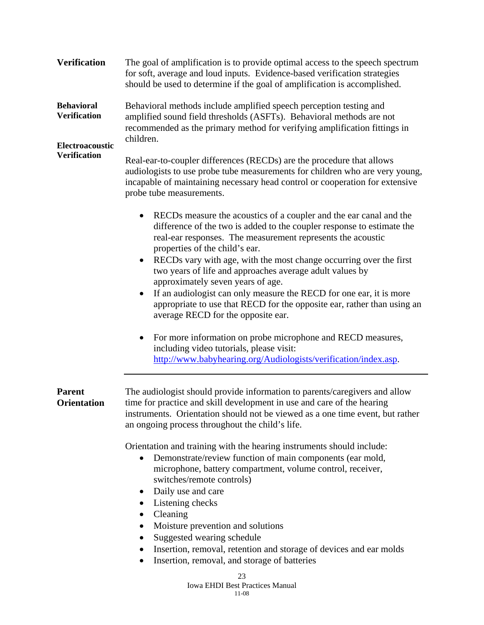| <b>Verification</b>                           | The goal of amplification is to provide optimal access to the speech spectrum<br>for soft, average and loud inputs. Evidence-based verification strategies<br>should be used to determine if the goal of amplification is accomplished.<br>Behavioral methods include amplified speech perception testing and<br>amplified sound field thresholds (ASFTs). Behavioral methods are not<br>recommended as the primary method for verifying amplification fittings in<br>children.                                                                                                                                           |  |  |
|-----------------------------------------------|---------------------------------------------------------------------------------------------------------------------------------------------------------------------------------------------------------------------------------------------------------------------------------------------------------------------------------------------------------------------------------------------------------------------------------------------------------------------------------------------------------------------------------------------------------------------------------------------------------------------------|--|--|
| <b>Behavioral</b><br><b>Verification</b>      |                                                                                                                                                                                                                                                                                                                                                                                                                                                                                                                                                                                                                           |  |  |
| <b>Electroacoustic</b><br><b>Verification</b> | Real-ear-to-coupler differences (RECDs) are the procedure that allows<br>audiologists to use probe tube measurements for children who are very young,<br>incapable of maintaining necessary head control or cooperation for extensive<br>probe tube measurements.                                                                                                                                                                                                                                                                                                                                                         |  |  |
|                                               | RECDs measure the acoustics of a coupler and the ear canal and the<br>$\bullet$<br>difference of the two is added to the coupler response to estimate the<br>real-ear responses. The measurement represents the acoustic<br>properties of the child's ear.<br>RECDs vary with age, with the most change occurring over the first<br>two years of life and approaches average adult values by<br>approximately seven years of age.<br>If an audiologist can only measure the RECD for one ear, it is more<br>appropriate to use that RECD for the opposite ear, rather than using an<br>average RECD for the opposite ear. |  |  |
|                                               | For more information on probe microphone and RECD measures,<br>including video tutorials, please visit:<br>http://www.babyhearing.org/Audiologists/verification/index.asp.                                                                                                                                                                                                                                                                                                                                                                                                                                                |  |  |
| Parent<br><b>Orientation</b>                  | The audiologist should provide information to parents/caregivers and allow<br>time for practice and skill development in use and care of the hearing<br>instruments. Orientation should not be viewed as a one time event, but rather<br>an ongoing process throughout the child's life.                                                                                                                                                                                                                                                                                                                                  |  |  |
|                                               | Orientation and training with the hearing instruments should include:<br>Demonstrate/review function of main components (ear mold,<br>microphone, battery compartment, volume control, receiver,<br>switches/remote controls)<br>Daily use and care<br>٠<br>Listening checks<br>Cleaning<br>Moisture prevention and solutions<br>Suggested wearing schedule<br>$\bullet$<br>Insertion, removal, retention and storage of devices and ear molds<br>٠<br>Insertion, removal, and storage of batteries<br>٠                                                                                                                  |  |  |
|                                               | 23<br><b>Iowa EHDI Best Practices Manual</b><br>11-08                                                                                                                                                                                                                                                                                                                                                                                                                                                                                                                                                                     |  |  |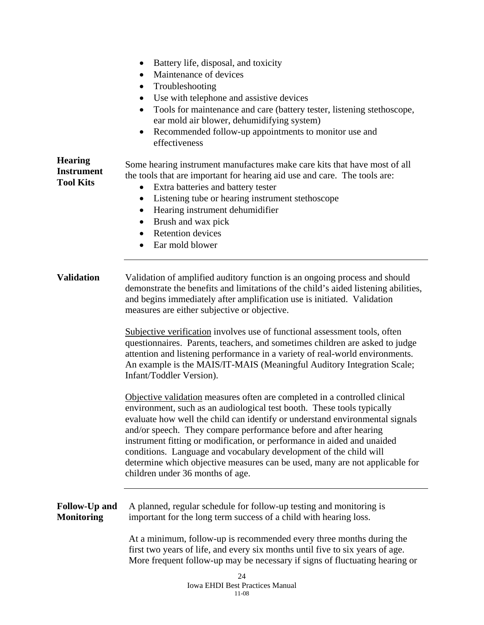| Battery life, disposal, and toxicity |  |  |  |  |  |  |
|--------------------------------------|--|--|--|--|--|--|
|--------------------------------------|--|--|--|--|--|--|

- Maintenance of devices
- Troubleshooting

**Hearing** 

**Tool Kits** 

- Use with telephone and assistive devices
- Tools for maintenance and care (battery tester, listening stethoscope, ear mold air blower, dehumidifying system)
- Recommended follow-up appointments to monitor use and effectiveness

**Instrument**  Some hearing instrument manufactures make care kits that have most of all the tools that are important for hearing aid use and care. The tools are:

- Extra batteries and battery tester
- Listening tube or hearing instrument stethoscope
- Hearing instrument dehumidifier
- Brush and wax pick
- Retention devices
- Ear mold blower

**Validation** Validation of amplified auditory function is an ongoing process and should demonstrate the benefits and limitations of the child's aided listening abilities, and begins immediately after amplification use is initiated. Validation measures are either subjective or objective.

> Subjective verification involves use of functional assessment tools, often questionnaires. Parents, teachers, and sometimes children are asked to judge attention and listening performance in a variety of real-world environments. An example is the MAIS/IT-MAIS (Meaningful Auditory Integration Scale; Infant/Toddler Version).

> Objective validation measures often are completed in a controlled clinical environment, such as an audiological test booth. These tools typically evaluate how well the child can identify or understand environmental signals and/or speech. They compare performance before and after hearing instrument fitting or modification, or performance in aided and unaided conditions. Language and vocabulary development of the child will determine which objective measures can be used, many are not applicable for children under 36 months of age.

**Follow-Up and Monitoring**  A planned, regular schedule for follow-up testing and monitoring is important for the long term success of a child with hearing loss.

> At a minimum, follow-up is recommended every three months during the first two years of life, and every six months until five to six years of age. More frequent follow-up may be necessary if signs of fluctuating hearing or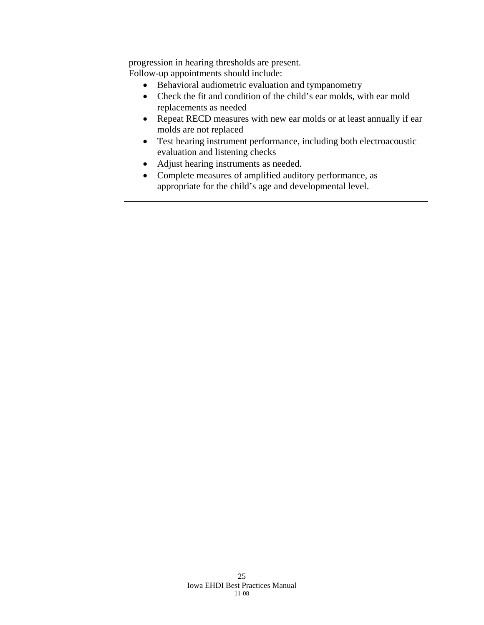progression in hearing thresholds are present.

Follow-up appointments should include:

- Behavioral audiometric evaluation and tympanometry
- Check the fit and condition of the child's ear molds, with ear mold replacements as needed
- Repeat RECD measures with new ear molds or at least annually if ear molds are not replaced
- Test hearing instrument performance, including both electroacoustic evaluation and listening checks
- Adjust hearing instruments as needed.
- Complete measures of amplified auditory performance, as appropriate for the child's age and developmental level.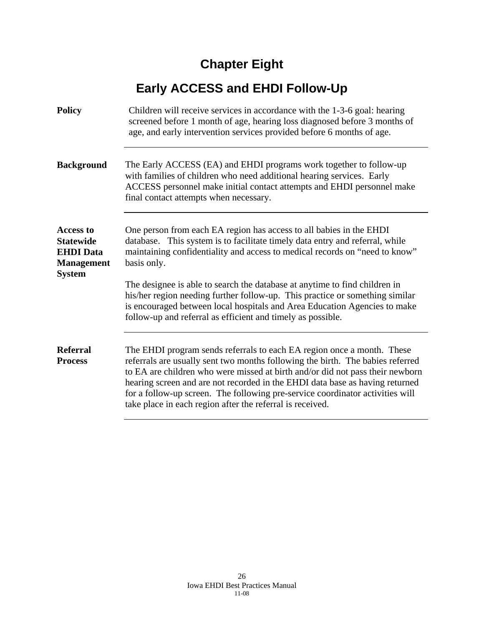# **Chapter Eight**

# **Early ACCESS and EHDI Follow-Up**

| <b>Policy</b>                                                                                  | Children will receive services in accordance with the 1-3-6 goal: hearing<br>screened before 1 month of age, hearing loss diagnosed before 3 months of<br>age, and early intervention services provided before 6 months of age.                                                                                                                                                                                                                                         |
|------------------------------------------------------------------------------------------------|-------------------------------------------------------------------------------------------------------------------------------------------------------------------------------------------------------------------------------------------------------------------------------------------------------------------------------------------------------------------------------------------------------------------------------------------------------------------------|
| <b>Background</b>                                                                              | The Early ACCESS (EA) and EHDI programs work together to follow-up<br>with families of children who need additional hearing services. Early<br>ACCESS personnel make initial contact attempts and EHDI personnel make<br>final contact attempts when necessary.                                                                                                                                                                                                         |
| <b>Access to</b><br><b>Statewide</b><br><b>EHDI</b> Data<br><b>Management</b><br><b>System</b> | One person from each EA region has access to all babies in the EHDI<br>database. This system is to facilitate timely data entry and referral, while<br>maintaining confidentiality and access to medical records on "need to know"<br>basis only.                                                                                                                                                                                                                       |
|                                                                                                | The designee is able to search the database at anytime to find children in<br>his/her region needing further follow-up. This practice or something similar<br>is encouraged between local hospitals and Area Education Agencies to make<br>follow-up and referral as efficient and timely as possible.                                                                                                                                                                  |
| <b>Referral</b><br><b>Process</b>                                                              | The EHDI program sends referrals to each EA region once a month. These<br>referrals are usually sent two months following the birth. The babies referred<br>to EA are children who were missed at birth and/or did not pass their newborn<br>hearing screen and are not recorded in the EHDI data base as having returned<br>for a follow-up screen. The following pre-service coordinator activities will<br>take place in each region after the referral is received. |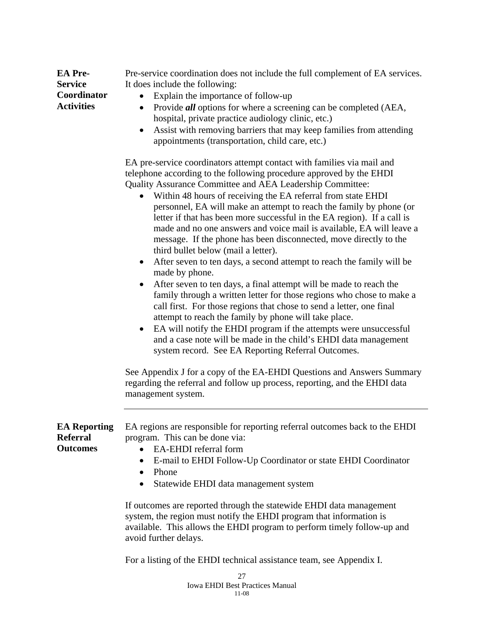**EA Pre-Service**  Pre-service coordination does not include the full complement of EA services. It does include the following:

**Coordinator Activities** 

- Explain the importance of follow-up
- Provide *all* options for where a screening can be completed (AEA, hospital, private practice audiology clinic, etc.)
- Assist with removing barriers that may keep families from attending appointments (transportation, child care, etc.)

EA pre-service coordinators attempt contact with families via mail and telephone according to the following procedure approved by the EHDI Quality Assurance Committee and AEA Leadership Committee:

- Within 48 hours of receiving the EA referral from state EHDI personnel, EA will make an attempt to reach the family by phone (or letter if that has been more successful in the EA region). If a call is made and no one answers and voice mail is available, EA will leave a message. If the phone has been disconnected, move directly to the third bullet below (mail a letter).
- After seven to ten days, a second attempt to reach the family will be made by phone.
- After seven to ten days, a final attempt will be made to reach the family through a written letter for those regions who chose to make a call first. For those regions that chose to send a letter, one final attempt to reach the family by phone will take place.
- EA will notify the EHDI program if the attempts were unsuccessful and a case note will be made in the child's EHDI data management system record. See EA Reporting Referral Outcomes.

See Appendix J for a copy of the EA-EHDI Questions and Answers Summary regarding the referral and follow up process, reporting, and the EHDI data management system.

**EA Reporting Referral Outcomes**  EA regions are responsible for reporting referral outcomes back to the EHDI program. This can be done via: • EA-EHDI referral form

- E-mail to EHDI Follow-Up Coordinator or state EHDI Coordinator
- Phone
- Statewide EHDI data management system

If outcomes are reported through the statewide EHDI data management system, the region must notify the EHDI program that information is available. This allows the EHDI program to perform timely follow-up and avoid further delays.

For a listing of the EHDI technical assistance team, see Appendix I.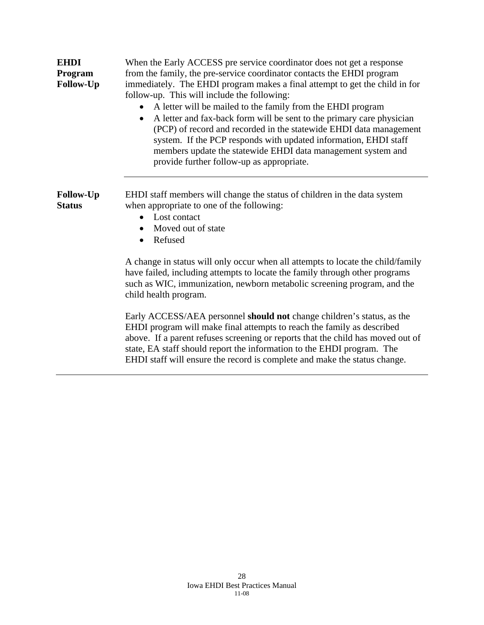| <b>EHDI</b><br>Program<br><b>Follow-Up</b> | When the Early ACCESS pre service coordinator does not get a response<br>from the family, the pre-service coordinator contacts the EHDI program<br>immediately. The EHDI program makes a final attempt to get the child in for<br>follow-up. This will include the following:<br>A letter will be mailed to the family from the EHDI program<br>A letter and fax-back form will be sent to the primary care physician<br>$\bullet$<br>(PCP) of record and recorded in the statewide EHDI data management<br>system. If the PCP responds with updated information, EHDI staff<br>members update the statewide EHDI data management system and<br>provide further follow-up as appropriate. |
|--------------------------------------------|-------------------------------------------------------------------------------------------------------------------------------------------------------------------------------------------------------------------------------------------------------------------------------------------------------------------------------------------------------------------------------------------------------------------------------------------------------------------------------------------------------------------------------------------------------------------------------------------------------------------------------------------------------------------------------------------|
| <b>Follow-Up</b><br><b>Status</b>          | EHDI staff members will change the status of children in the data system<br>when appropriate to one of the following:<br>Lost contact<br>$\bullet$<br>Moved out of state<br>$\bullet$<br>Refused<br>$\bullet$                                                                                                                                                                                                                                                                                                                                                                                                                                                                             |
|                                            | A change in status will only occur when all attempts to locate the child/family<br>have failed, including attempts to locate the family through other programs<br>such as WIC, immunization, newborn metabolic screening program, and the<br>child health program.                                                                                                                                                                                                                                                                                                                                                                                                                        |
|                                            | Early ACCESS/AEA personnel should not change children's status, as the<br>EHDI program will make final attempts to reach the family as described<br>above. If a parent refuses screening or reports that the child has moved out of<br>state, EA staff should report the information to the EHDI program. The<br>EHDI staff will ensure the record is complete and make the status change.                                                                                                                                                                                                                                                                                                |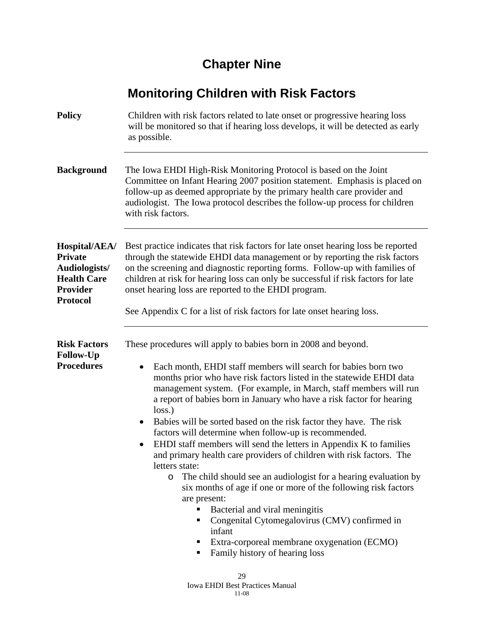# **Chapter Nine**

# **Monitoring Children with Risk Factors**

| <b>Policy</b>                                                                                         | Children with risk factors related to late onset or progressive hearing loss<br>will be monitored so that if hearing loss develops, it will be detected as early<br>as possible.                                                                                                                                                                                                                                                                                                                                                                                                                                                                                                                                                                                                                                                                                                                                                                                                                                                         |  |  |  |
|-------------------------------------------------------------------------------------------------------|------------------------------------------------------------------------------------------------------------------------------------------------------------------------------------------------------------------------------------------------------------------------------------------------------------------------------------------------------------------------------------------------------------------------------------------------------------------------------------------------------------------------------------------------------------------------------------------------------------------------------------------------------------------------------------------------------------------------------------------------------------------------------------------------------------------------------------------------------------------------------------------------------------------------------------------------------------------------------------------------------------------------------------------|--|--|--|
| <b>Background</b>                                                                                     | The Iowa EHDI High-Risk Monitoring Protocol is based on the Joint<br>Committee on Infant Hearing 2007 position statement. Emphasis is placed on<br>follow-up as deemed appropriate by the primary health care provider and<br>audiologist. The Iowa protocol describes the follow-up process for children<br>with risk factors.                                                                                                                                                                                                                                                                                                                                                                                                                                                                                                                                                                                                                                                                                                          |  |  |  |
| Hospital/AEA/<br><b>Private</b><br>Audiologists/<br><b>Health Care</b><br>Provider<br><b>Protocol</b> | Best practice indicates that risk factors for late onset hearing loss be reported<br>through the statewide EHDI data management or by reporting the risk factors<br>on the screening and diagnostic reporting forms. Follow-up with families of<br>children at risk for hearing loss can only be successful if risk factors for late<br>onset hearing loss are reported to the EHDI program.<br>See Appendix C for a list of risk factors for late onset hearing loss.                                                                                                                                                                                                                                                                                                                                                                                                                                                                                                                                                                   |  |  |  |
|                                                                                                       |                                                                                                                                                                                                                                                                                                                                                                                                                                                                                                                                                                                                                                                                                                                                                                                                                                                                                                                                                                                                                                          |  |  |  |
| <b>Risk Factors</b><br><b>Follow-Up</b><br><b>Procedures</b>                                          | These procedures will apply to babies born in 2008 and beyond.<br>Each month, EHDI staff members will search for babies born two<br>months prior who have risk factors listed in the statewide EHDI data<br>management system. (For example, in March, staff members will run<br>a report of babies born in January who have a risk factor for hearing<br>loss.<br>Babies will be sorted based on the risk factor they have. The risk<br>$\bullet$<br>factors will determine when follow-up is recommended.<br>EHDI staff members will send the letters in Appendix K to families<br>and primary health care providers of children with risk factors. The<br>letters state:<br>The child should see an audiologist for a hearing evaluation by<br>O<br>six months of age if one or more of the following risk factors<br>are present:<br>Bacterial and viral meningitis<br>Congenital Cytomegalovirus (CMV) confirmed in<br>٠<br>infant<br>Extra-corporeal membrane oxygenation (ECMO)<br>п<br>Family history of hearing loss<br>п<br>29 |  |  |  |
|                                                                                                       | <b>Iowa EHDI Best Practices Manual</b><br>11-08                                                                                                                                                                                                                                                                                                                                                                                                                                                                                                                                                                                                                                                                                                                                                                                                                                                                                                                                                                                          |  |  |  |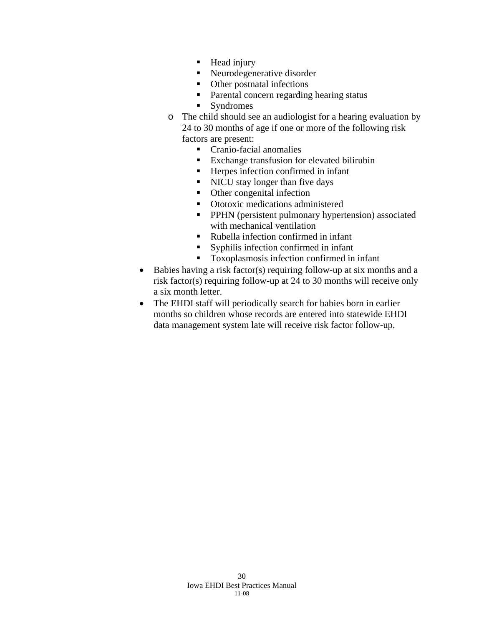- $H$ ead injury
- Neurodegenerative disorder
- Other postnatal infections
- Parental concern regarding hearing status
- **Syndromes**
- o The child should see an audiologist for a hearing evaluation by 24 to 30 months of age if one or more of the following risk factors are present:
	- **Cranio-facial anomalies**
	- Exchange transfusion for elevated bilirubin
	- Herpes infection confirmed in infant
	- I NICU stay longer than five days
	- Other congenital infection
	- **•** Ototoxic medications administered
	- **PPHN** (persistent pulmonary hypertension) associated with mechanical ventilation
	- Rubella infection confirmed in infant
	- Syphilis infection confirmed in infant
	- **Toxoplasmosis infection confirmed in infant**
- Babies having a risk factor(s) requiring follow-up at six months and a risk factor(s) requiring follow-up at 24 to 30 months will receive only a six month letter.
- The EHDI staff will periodically search for babies born in earlier months so children whose records are entered into statewide EHDI data management system late will receive risk factor follow-up.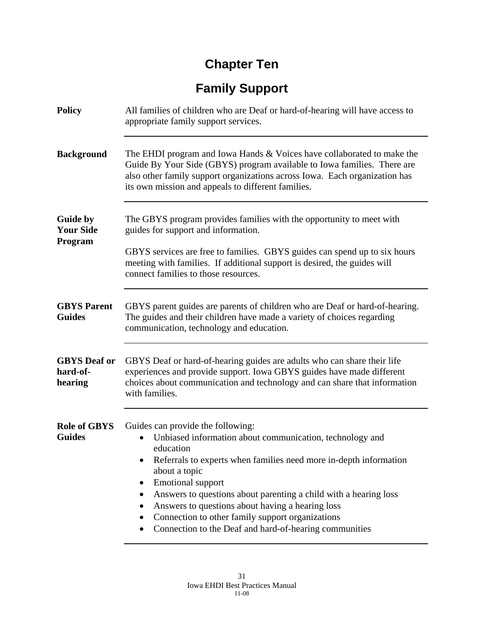# **Chapter Ten**

# **Family Support**

| <b>Policy</b>                                  | All families of children who are Deaf or hard-of-hearing will have access to<br>appropriate family support services.                                                                                                                                                                                                                                                                                                                                                                                      |  |  |
|------------------------------------------------|-----------------------------------------------------------------------------------------------------------------------------------------------------------------------------------------------------------------------------------------------------------------------------------------------------------------------------------------------------------------------------------------------------------------------------------------------------------------------------------------------------------|--|--|
| <b>Background</b>                              | The EHDI program and Iowa Hands & Voices have collaborated to make the<br>Guide By Your Side (GBYS) program available to Iowa families. There are<br>also other family support organizations across Iowa. Each organization has<br>its own mission and appeals to different families.                                                                                                                                                                                                                     |  |  |
| <b>Guide by</b><br><b>Your Side</b><br>Program | The GBYS program provides families with the opportunity to meet with<br>guides for support and information.<br>GBYS services are free to families. GBYS guides can spend up to six hours<br>meeting with families. If additional support is desired, the guides will<br>connect families to those resources.                                                                                                                                                                                              |  |  |
| <b>GBYS Parent</b><br><b>Guides</b>            | GBYS parent guides are parents of children who are Deaf or hard-of-hearing.<br>The guides and their children have made a variety of choices regarding<br>communication, technology and education.                                                                                                                                                                                                                                                                                                         |  |  |
| <b>GBYS</b> Deaf or<br>hard-of-<br>hearing     | GBYS Deaf or hard-of-hearing guides are adults who can share their life<br>experiences and provide support. Iowa GBYS guides have made different<br>choices about communication and technology and can share that information<br>with families.                                                                                                                                                                                                                                                           |  |  |
| <b>Role of GBYS</b><br><b>Guides</b>           | Guides can provide the following:<br>Unbiased information about communication, technology and<br>education<br>Referrals to experts when families need more in-depth information<br>about a topic<br><b>Emotional support</b><br>Answers to questions about parenting a child with a hearing loss<br>$\bullet$<br>Answers to questions about having a hearing loss<br>$\bullet$<br>Connection to other family support organizations<br>$\bullet$<br>Connection to the Deaf and hard-of-hearing communities |  |  |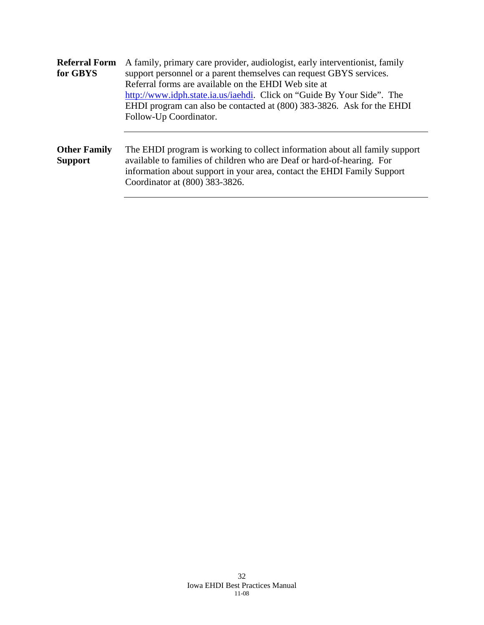| <b>Referral Form</b><br>for GBYS      | A family, primary care provider, audiologist, early interventionist, family<br>support personnel or a parent themselves can request GBYS services.<br>Referral forms are available on the EHDI Web site at<br>http://www.idph.state.ia.us/iaehdi. Click on "Guide By Your Side". The |  |  |
|---------------------------------------|--------------------------------------------------------------------------------------------------------------------------------------------------------------------------------------------------------------------------------------------------------------------------------------|--|--|
|                                       | EHDI program can also be contacted at (800) 383-3826. Ask for the EHDI<br>Follow-Up Coordinator.                                                                                                                                                                                     |  |  |
| <b>Other Family</b><br><b>Support</b> | The EHDI program is working to collect information about all family support<br>available to families of children who are Deaf or hard-of-hearing. For<br>information about support in your area, contact the EHDI Family Support<br>Coordinator at (800) 383-3826.                   |  |  |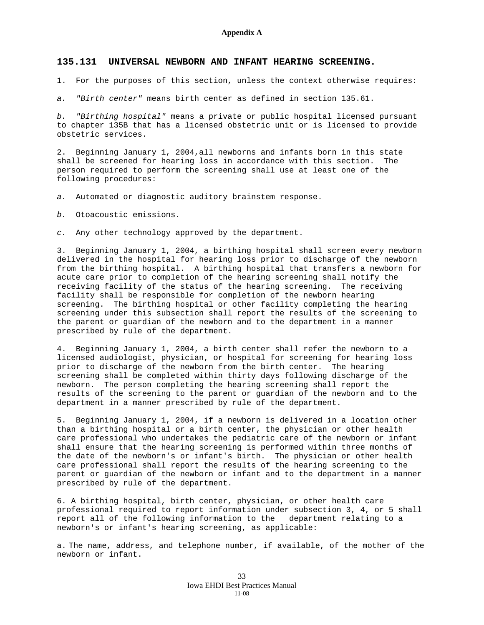#### **Appendix A**

#### **135.131 UNIVERSAL NEWBORN AND INFANT HEARING SCREENING.**

1. For the purposes of this section, unless the context otherwise requires:

*a. "Birth center"* means birth center as defined in section 135.61.

*b. "Birthing hospital"* means a private or public hospital licensed pursuant to chapter 135B that has a licensed obstetric unit or is licensed to provide obstetric services.

2. Beginning January 1, 2004,all newborns and infants born in this state shall be screened for hearing loss in accordance with this section. The person required to perform the screening shall use at least one of the following procedures:

*a.* Automated or diagnostic auditory brainstem response.

*b.* Otoacoustic emissions.

*c.* Any other technology approved by the department.

3. Beginning January 1, 2004, a birthing hospital shall screen every newborn delivered in the hospital for hearing loss prior to discharge of the newborn from the birthing hospital. A birthing hospital that transfers a newborn for acute care prior to completion of the hearing screening shall notify the receiving facility of the status of the hearing screening. The receiving facility shall be responsible for completion of the newborn hearing screening. The birthing hospital or other facility completing the hearing screening under this subsection shall report the results of the screening to the parent or guardian of the newborn and to the department in a manner prescribed by rule of the department.

4. Beginning January 1, 2004, a birth center shall refer the newborn to a licensed audiologist, physician, or hospital for screening for hearing loss prior to discharge of the newborn from the birth center. The hearing screening shall be completed within thirty days following discharge of the newborn. The person completing the hearing screening shall report the results of the screening to the parent or guardian of the newborn and to the department in a manner prescribed by rule of the department.

5. Beginning January 1, 2004, if a newborn is delivered in a location other than a birthing hospital or a birth center, the physician or other health care professional who undertakes the pediatric care of the newborn or infant shall ensure that the hearing screening is performed within three months of the date of the newborn's or infant's birth. The physician or other health care professional shall report the results of the hearing screening to the parent or guardian of the newborn or infant and to the department in a manner prescribed by rule of the department.

6. A birthing hospital, birth center, physician, or other health care professional required to report information under subsection 3, 4, or 5 shall report all of the following information to the department relating to a newborn's or infant's hearing screening, as applicable:

a. The name, address, and telephone number, if available, of the mother of the newborn or infant.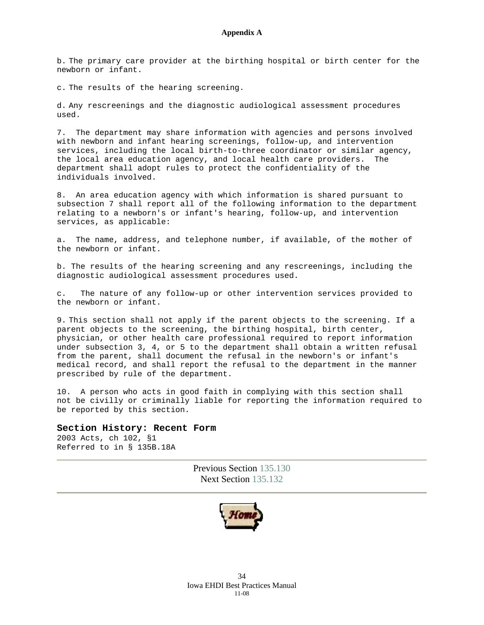b. The primary care provider at the birthing hospital or birth center for the newborn or infant.

c. The results of the hearing screening.

d. Any rescreenings and the diagnostic audiological assessment procedures used.

7. The department may share information with agencies and persons involved with newborn and infant hearing screenings, follow-up, and intervention services, including the local birth-to-three coordinator or similar agency, the local area education agency, and local health care providers. The department shall adopt rules to protect the confidentiality of the individuals involved.

8. An area education agency with which information is shared pursuant to subsection 7 shall report all of the following information to the department relating to a newborn's or infant's hearing, follow-up, and intervention services, as applicable:

a. The name, address, and telephone number, if available, of the mother of the newborn or infant.

b. The results of the hearing screening and any rescreenings, including the diagnostic audiological assessment procedures used.

c. The nature of any follow-up or other intervention services provided to the newborn or infant.

9. This section shall not apply if the parent objects to the screening. If a parent objects to the screening, the birthing hospital, birth center, physician, or other health care professional required to report information under subsection 3, 4, or 5 to the department shall obtain a written refusal from the parent, shall document the refusal in the newborn's or infant's medical record, and shall report the refusal to the department in the manner prescribed by rule of the department.

10. A person who acts in good faith in complying with this section shall not be civilly or criminally liable for reporting the information required to be reported by this section.

#### **Section History: Recent Form**

2003 Acts, ch 102, §1 Referred to in § 135B.18A

> Previous Section 135.130 Next Section 135.132

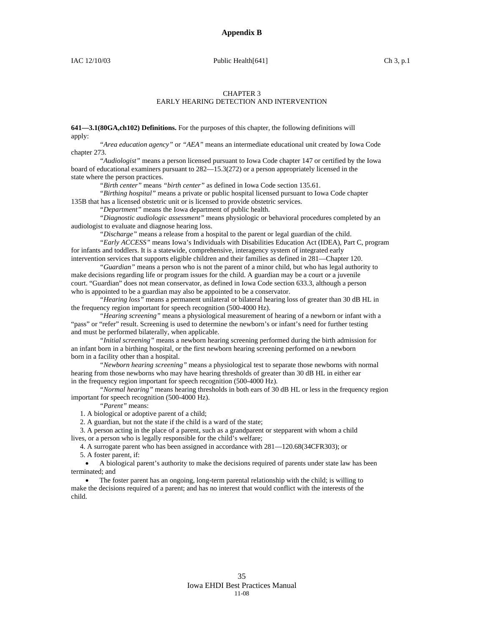#### IAC 12/10/03 Public Health[641] Ch 3, p.1

#### CHAPTER 3 EARLY HEARING DETECTION AND INTERVENTION

641—3.1(80GA,ch102) Definitions. For the purposes of this chapter, the following definitions will apply:

*"Area education agency"* or *"AEA"* means an intermediate educational unit created by Iowa Code chapter 273.

*"Audiologist"* means a person licensed pursuant to Iowa Code chapter 147 or certified by the Iowa board of educational examiners pursuant to 282—15.3(272) or a person appropriately licensed in the state where the person practices.

*"Birth center"* means *"birth center"* as defined in Iowa Code section 135.61.

*"Birthing hospital"* means a private or public hospital licensed pursuant to Iowa Code chapter 135B that has a licensed obstetric unit or is licensed to provide obstetric services.

*"Department"* means the Iowa department of public health.

*"Diagnostic audiologic assessment"* means physiologic or behavioral procedures completed by an audiologist to evaluate and diagnose hearing loss.

*"Discharge"* means a release from a hospital to the parent or legal guardian of the child.

*"Early ACCESS"* means Iowa's Individuals with Disabilities Education Act (IDEA), Part C, program for infants and toddlers. It is a statewide, comprehensive, interagency system of integrated early intervention services that supports eligible children and their families as defined in 281—Chapter 120.

*"Guardian"* means a person who is not the parent of a minor child, but who has legal authority to make decisions regarding life or program issues for the child. A guardian may be a court or a juvenile court. "Guardian" does not mean conservator, as defined in Iowa Code section 633.3, although a person who is appointed to be a guardian may also be appointed to be a conservator.

*"Hearing loss"* means a permanent unilateral or bilateral hearing loss of greater than 30 dB HL in the frequency region important for speech recognition (500-4000 Hz).

*"Hearing screening"* means a physiological measurement of hearing of a newborn or infant with a "pass" or "refer" result. Screening is used to determine the newborn's or infant's need for further testing and must be performed bilaterally, when applicable.

*"Initial screening"* means a newborn hearing screening performed during the birth admission for an infant born in a birthing hospital, or the first newborn hearing screening performed on a newborn born in a facility other than a hospital.

*"Newborn hearing screening"* means a physiological test to separate those newborns with normal hearing from those newborns who may have hearing thresholds of greater than 30 dB HL in either ear in the frequency region important for speech recognition (500-4000 Hz).

*"Normal hearing"* means hearing thresholds in both ears of 30 dB HL or less in the frequency region important for speech recognition (500-4000 Hz).

*"Parent"* means:

1. A biological or adoptive parent of a child;

2. A guardian, but not the state if the child is a ward of the state;

 3. A person acting in the place of a parent, such as a grandparent or stepparent with whom a child lives, or a person who is legally responsible for the child's welfare;

 4. A surrogate parent who has been assigned in accordance with 281—120.68(34CFR303); or 5. A foster parent, if:

• A biological parent's authority to make the decisions required of parents under state law has been terminated; and

• The foster parent has an ongoing, long-term parental relationship with the child; is willing to make the decisions required of a parent; and has no interest that would conflict with the interests of the child.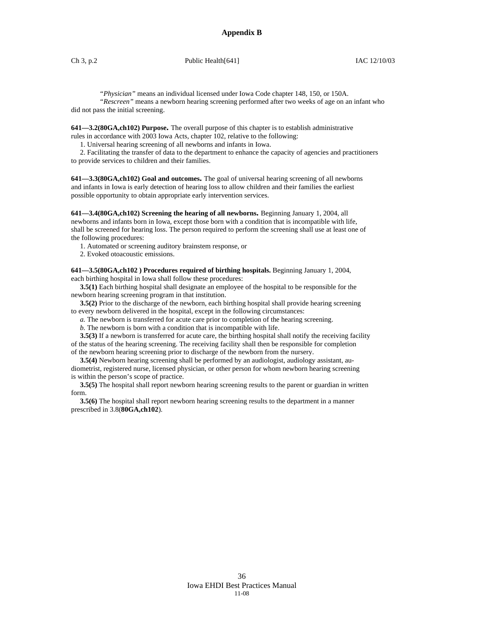#### Ch 3, p.2 **Public Health[641]** IAC 12/10/03

*"Physician"* means an individual licensed under Iowa Code chapter 148, 150, or 150A. *"Rescreen"* means a newborn hearing screening performed after two weeks of age on an infant who did not pass the initial screening.

**641—3.2(80GA,ch102) Purpose.** The overall purpose of this chapter is to establish administrative rules in accordance with 2003 Iowa Acts, chapter 102, relative to the following:

1. Universal hearing screening of all newborns and infants in Iowa.

 2. Facilitating the transfer of data to the department to enhance the capacity of agencies and practitioners to provide services to children and their families.

**641—3.3(80GA,ch102) Goal and outcomes.** The goal of universal hearing screening of all newborns and infants in Iowa is early detection of hearing loss to allow children and their families the earliest possible opportunity to obtain appropriate early intervention services.

**641—3.4(80GA,ch102) Screening the hearing of all newborns.** Beginning January 1, 2004, all newborns and infants born in Iowa, except those born with a condition that is incompatible with life, shall be screened for hearing loss. The person required to perform the screening shall use at least one of the following procedures:

1. Automated or screening auditory brainstem response, or

2. Evoked otoacoustic emissions.

**641—3.5(80GA,ch102 ) Procedures required of birthing hospitals.** Beginning January 1, 2004, each birthing hospital in Iowa shall follow these procedures:

 **3.5(1)** Each birthing hospital shall designate an employee of the hospital to be responsible for the newborn hearing screening program in that institution.

 **3.5(2)** Prior to the discharge of the newborn, each birthing hospital shall provide hearing screening to every newborn delivered in the hospital, except in the following circumstances:

 *a.* The newborn is transferred for acute care prior to completion of the hearing screening.

 *b.* The newborn is born with a condition that is incompatible with life.

**3.5(3)** If a newborn is transferred for acute care, the birthing hospital shall notify the receiving facility of the status of the hearing screening. The receiving facility shall then be responsible for completion of the newborn hearing screening prior to discharge of the newborn from the nursery.

**3.5(4)** Newborn hearing screening shall be performed by an audiologist, audiology assistant, audiometrist, registered nurse, licensed physician, or other person for whom newborn hearing screening is within the person's scope of practice.

 **3.5(5)** The hospital shall report newborn hearing screening results to the parent or guardian in written form.

 **3.5(6)** The hospital shall report newborn hearing screening results to the department in a manner prescribed in 3.8(80GA,ch102).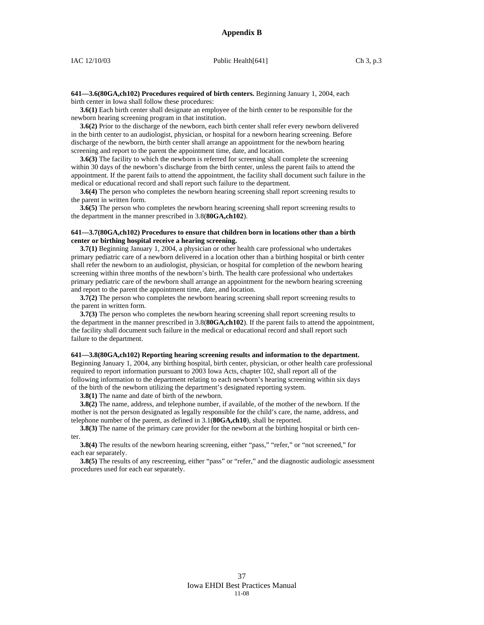#### **Appendix B**

#### IAC 12/10/03 Public Health[641] Ch 3, p.3

**641—3.6(80GA,ch102) Procedures required of birth centers.** Beginning January 1, 2004, each birth center in Iowa shall follow these procedures:

 **3.6(1)** Each birth center shall designate an employee of the birth center to be responsible for the newborn hearing screening program in that institution.

 **3.6(2)** Prior to the discharge of the newborn, each birth center shall refer every newborn delivered in the birth center to an audiologist, physician, or hospital for a newborn hearing screening. Before discharge of the newborn, the birth center shall arrange an appointment for the newborn hearing screening and report to the parent the appointment time, date, and location.

 **3.6(3)** The facility to which the newborn is referred for screening shall complete the screening within 30 days of the newborn's discharge from the birth center, unless the parent fails to attend the appointment. If the parent fails to attend the appointment, the facility shall document such failure in the medical or educational record and shall report such failure to the department.

 **3.6(4)** The person who completes the newborn hearing screening shall report screening results to the parent in written form.

 **3.6(5)** The person who completes the newborn hearing screening shall report screening results to the department in the manner prescribed in 3.8(**80GA,ch102**).

#### **641—3.7(80GA,ch102) Procedures to ensure that children born in locations other than a birth center or birthing hospital receive a hearing screening.**

 **3.7(1)** Beginning January 1, 2004, a physician or other health care professional who undertakes primary pediatric care of a newborn delivered in a location other than a birthing hospital or birth center shall refer the newborn to an audiologist, physician, or hospital for completion of the newborn hearing screening within three months of the newborn's birth. The health care professional who undertakes primary pediatric care of the newborn shall arrange an appointment for the newborn hearing screening and report to the parent the appointment time, date, and location.

**3.7(2)** The person who completes the newborn hearing screening shall report screening results to the parent in written form.

 **3.7(3)** The person who completes the newborn hearing screening shall report screening results to the department in the manner prescribed in 3.8(**80GA,ch102**). If the parent fails to attend the appointment, the facility shall document such failure in the medical or educational record and shall report such failure to the department.

#### **641—3.8(80GA,ch102) Reporting hearing screening results and information to the department.**

Beginning January 1, 2004, any birthing hospital, birth center, physician, or other health care professional required to report information pursuant to 2003 Iowa Acts, chapter 102, shall report all of the following information to the department relating to each newborn's hearing screening within six days of the birth of the newborn utilizing the department's designated reporting system.

 **3.8(1)** The name and date of birth of the newborn.

 **3.8(2)** The name, address, and telephone number, if available, of the mother of the newborn. If the mother is not the person designated as legally responsible for the child's care, the name, address, and telephone number of the parent, as defined in 3.1(**80GA,ch10**), shall be reported.

 **3.8(3)** The name of the primary care provider for the newborn at the birthing hospital or birth center.

 **3.8(4)** The results of the newborn hearing screening, either "pass," "refer," or "not screened," for each ear separately.

 **3.8(5)** The results of any rescreening, either "pass" or "refer," and the diagnostic audiologic assessment procedures used for each ear separately.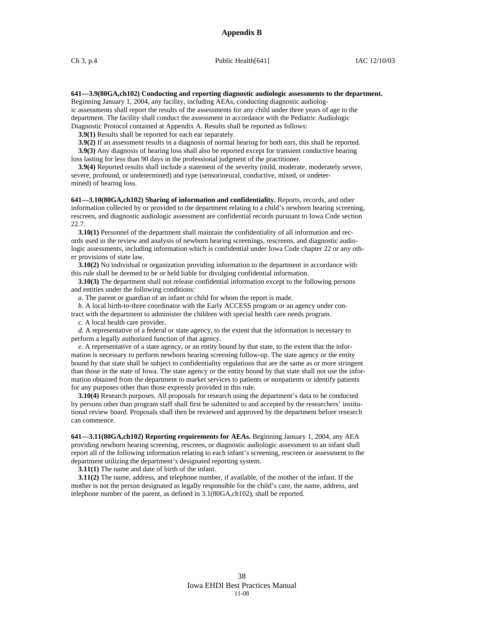**641—3.9(80GA,ch102) Conducting and reporting diagnostic audiologic assessments to the department.**  Beginning January 1, 2004, any facility, including AEAs, conducting diagnostic audiologic assessments shall report the results of the assessments for any child under three years of age to the department. The facility shall conduct the assessment in accordance with the Pediatric Audiologic Diagnostic Protocol contained at Appendix A. Results shall be reported as follows:

**3.9(1)** Results shall be reported for each ear separately.

**3.9(2)** If an assessment results in a diagnosis of normal hearing for both ears, this shall be reported. **3.9(3)** Any diagnosis of hearing loss shall also be reported except for transient conductive hearing

loss lasting for less than 90 days in the professional judgment of the practitioner.

**3.9(4)** Reported results shall include a statement of the severity (mild, moderate, moderately severe, severe, profound, or undetermined) and type (sensorineural, conductive, mixed, or undetermined) of hearing loss.

**641—3.10(80GA,ch102) Sharing of information and confidentiality.** Reports, records, and other information collected by or provided to the department relating to a child's newborn hearing screening, rescreen, and diagnostic audiologic assessment are confidential records pursuant to Iowa Code section 22.7.

**3.10(1)** Personnel of the department shall maintain the confidentiality of all information and records used in the review and analysis of newborn hearing screenings, rescreens, and diagnostic audiologic assessments, including information which is confidential under Iowa Code chapter 22 or any other provisions of state law.

**3.10(2)** No individual or organization providing information to the department in accordance with this rule shall be deemed to be or held liable for divulging confidential information.

**3.10(3)** The department shall not release confidential information except to the following persons and entities under the following conditions:

*a.* The parent or guardian of an infant or child for whom the report is made.

*b.* A local birth-to-three coordinator with the Early ACCESS program or an agency under con-

tract with the department to administer the children with special health care needs program.

*c.* A local health care provider.

*d.* A representative of a federal or state agency, to the extent that the information is necessary to perform a legally authorized function of that agency.

*e.* A representative of a state agency, or an entity bound by that state, to the extent that the information is necessary to perform newborn hearing screening follow-up. The state agency or the entity bound by that state shall be subject to confidentiality regulations that are the same as or more stringent than those in the state of Iowa. The state agency or the entity bound by that state shall not use the information obtained from the department to market services to patients or nonpatients or identify patients for any purposes other than those expressly provided in this rule.

**3.10(4)** Research purposes. All proposals for research using the department's data to be conducted by persons other than program staff shall first be submitted to and accepted by the researchers' institutional review board. Proposals shall then be reviewed and approved by the department before research can commence.

**641—3.11(80GA,ch102) Reporting requirements for AEAs.** Beginning January 1, 2004, any AEA providing newborn hearing screening, rescreen, or diagnostic audiologic assessment to an infant shall report all of the following information relating to each infant's screening, rescreen or assessment to the department utilizing the department's designated reporting system.

**3.11(1)** The name and date of birth of the infant.

**3.11(2)** The name, address, and telephone number, if available, of the mother of the infant. If the mother is not the person designated as legally responsible for the child's care, the name, address, and telephone number of the parent, as defined in  $3.1(80GA, ch102)$ , shall be reported.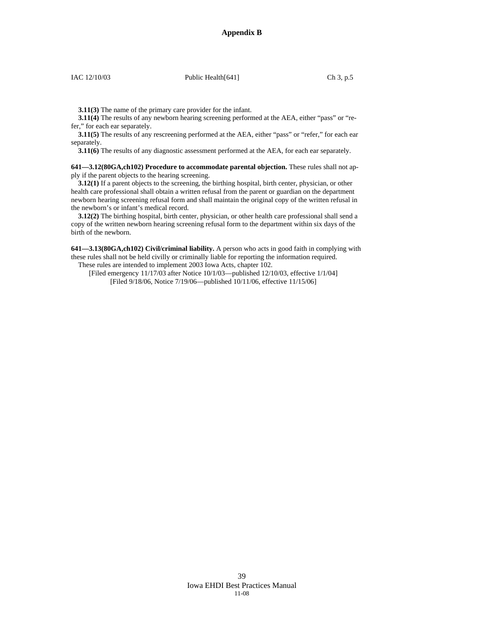#### IAC  $12/10/03$  Public Health[641] Ch 3, p.5

**3.11(3)** The name of the primary care provider for the infant.

**3.11(4)** The results of any newborn hearing screening performed at the AEA, either "pass" or "refer," for each ear separately.

**3.11(5)** The results of any rescreening performed at the AEA, either "pass" or "refer," for each ear separately.

**3.11(6)** The results of any diagnostic assessment performed at the AEA, for each ear separately.

**641—3.12(80GA,ch102) Procedure to accommodate parental objection.** These rules shall not apply if the parent objects to the hearing screening.

**3.12(1)** If a parent objects to the screening, the birthing hospital, birth center, physician, or other health care professional shall obtain a written refusal from the parent or guardian on the department newborn hearing screening refusal form and shall maintain the original copy of the written refusal in the newborn's or infant's medical record.

**3.12(2)** The birthing hospital, birth center, physician, or other health care professional shall send a copy of the written newborn hearing screening refusal form to the department within six days of the birth of the newborn.

**641—3.13(80GA,ch102) Civil/criminal liability.** A person who acts in good faith in complying with these rules shall not be held civilly or criminally liable for reporting the information required.

These rules are intended to implement 2003 Iowa Acts, chapter 102. [Filed emergency 11/17/03 after Notice 10/1/03—published 12/10/03, effective 1/1/04]

[Filed 9/18/06, Notice 7/19/06—published 10/11/06, effective 11/15/06]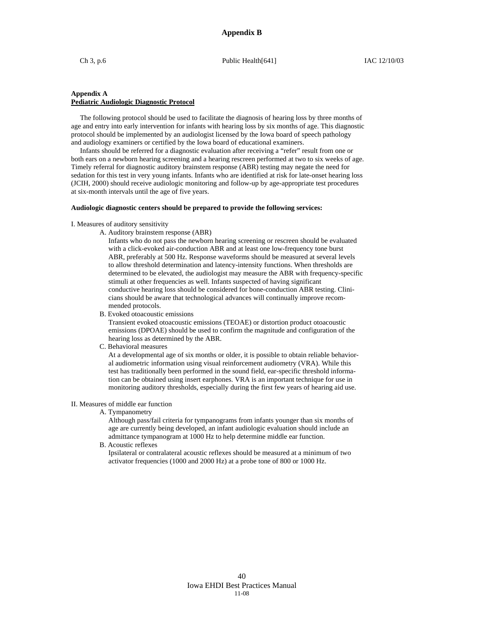#### **Appendix B**

Ch 3, p.6 **Public Health[641]** IAC 12/10/03

#### **Appendix A Pediatric Audiologic Diagnostic Protocol**

 The following protocol should be used to facilitate the diagnosis of hearing loss by three months of age and entry into early intervention for infants with hearing loss by six months of age. This diagnostic protocol should be implemented by an audiologist licensed by the Iowa board of speech pathology and audiology examiners or certified by the Iowa board of educational examiners.

 Infants should be referred for a diagnostic evaluation after receiving a "refer" result from one or both ears on a newborn hearing screening and a hearing rescreen performed at two to six weeks of age. Timely referral for diagnostic auditory brainstem response (ABR) testing may negate the need for sedation for this test in very young infants. Infants who are identified at risk for late-onset hearing loss (JCIH, 2000) should receive audiologic monitoring and follow-up by age-appropriate test procedures at six-month intervals until the age of five years.

#### **Audiologic diagnostic centers should be prepared to provide the following services:**

I. Measures of auditory sensitivity

A. Auditory brainstem response (ABR)

Infants who do not pass the newborn hearing screening or rescreen should be evaluated with a click-evoked air-conduction ABR and at least one low-frequency tone burst ABR, preferably at 500 Hz. Response waveforms should be measured at several levels to allow threshold determination and latency-intensity functions. When thresholds are determined to be elevated, the audiologist may measure the ABR with frequency-specific stimuli at other frequencies as well. Infants suspected of having significant conductive hearing loss should be considered for bone-conduction ABR testing. Clinicians should be aware that technological advances will continually improve recommended protocols.

B. Evoked otoacoustic emissions

Transient evoked otoacoustic emissions (TEOAE) or distortion product otoacoustic emissions (DPOAE) should be used to confirm the magnitude and configuration of the hearing loss as determined by the ABR.

C. Behavioral measures

At a developmental age of six months or older, it is possible to obtain reliable behavioral audiometric information using visual reinforcement audiometry (VRA). While this test has traditionally been performed in the sound field, ear-specific threshold information can be obtained using insert earphones. VRA is an important technique for use in monitoring auditory thresholds, especially during the first few years of hearing aid use.

#### II. Measures of middle ear function

A. Tympanometry

Although pass/fail criteria for tympanograms from infants younger than six months of age are currently being developed, an infant audiologic evaluation should include an admittance tympanogram at 1000 Hz to help determine middle ear function.

B. Acoustic reflexes

Ipsilateral or contralateral acoustic reflexes should be measured at a minimum of two activator frequencies (1000 and 2000 Hz) at a probe tone of 800 or 1000 Hz.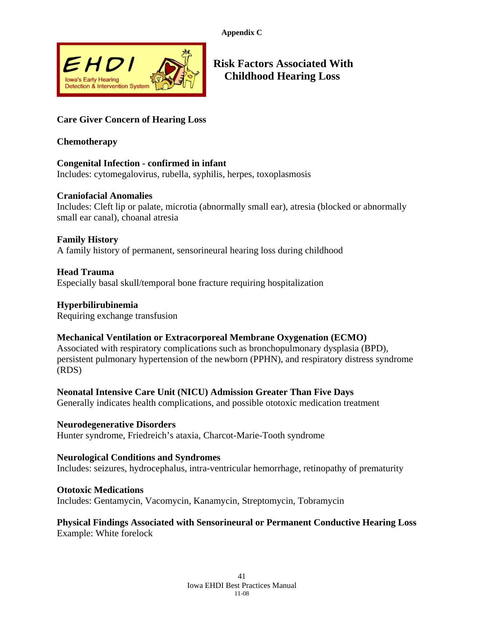

**Risk Factors Associated With Childhood Hearing Loss** 

### **Care Giver Concern of Hearing Loss**

#### **Chemotherapy**

**Congenital Infection - confirmed in infant**  Includes: cytomegalovirus, rubella, syphilis, herpes, toxoplasmosis

#### **Craniofacial Anomalies**

Includes: Cleft lip or palate, microtia (abnormally small ear), atresia (blocked or abnormally small ear canal), choanal atresia

**Family History**  A family history of permanent, sensorineural hearing loss during childhood

**Head Trauma**  Especially basal skull/temporal bone fracture requiring hospitalization

**Hyperbilirubinemia**  Requiring exchange transfusion

# **Mechanical Ventilation or Extracorporeal Membrane Oxygenation (ECMO)**  Associated with respiratory complications such as bronchopulmonary dysplasia (BPD),

persistent pulmonary hypertension of the newborn (PPHN), and respiratory distress syndrome (RDS)

**Neonatal Intensive Care Unit (NICU) Admission Greater Than Five Days**  Generally indicates health complications, and possible ototoxic medication treatment

**Neurodegenerative Disorders**  Hunter syndrome, Friedreich's ataxia, Charcot-Marie-Tooth syndrome

**Neurological Conditions and Syndromes**  Includes: seizures, hydrocephalus, intra-ventricular hemorrhage, retinopathy of prematurity

**Ototoxic Medications**  Includes: Gentamycin, Vacomycin, Kanamycin, Streptomycin, Tobramycin

**Physical Findings Associated with Sensorineural or Permanent Conductive Hearing Loss**  Example: White forelock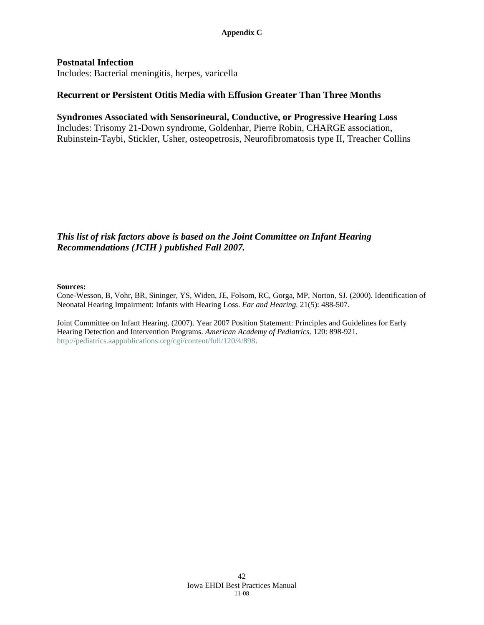#### **Appendix C**

**Postnatal Infection** 

Includes: Bacterial meningitis, herpes, varicella

#### **Recurrent or Persistent Otitis Media with Effusion Greater Than Three Months**

**Syndromes Associated with Sensorineural, Conductive, or Progressive Hearing Loss** 

Includes: Trisomy 21-Down syndrome, Goldenhar, Pierre Robin, CHARGE association, Rubinstein-Taybi, Stickler, Usher, osteopetrosis, Neurofibromatosis type II, Treacher Collins

*This list of risk factors above is based on the Joint Committee on Infant Hearing Recommendations (JCIH ) published Fall 2007.* 

**Sources:** 

Cone-Wesson, B, Vohr, BR, Sininger, YS, Widen, JE, Folsom, RC, Gorga, MP, Norton, SJ. (2000). Identification of Neonatal Hearing Impairment: Infants with Hearing Loss. *Ear and Hearing.* 21(5): 488-507.

Joint Committee on Infant Hearing. (2007). Year 2007 Position Statement: Principles and Guidelines for Early Hearing Detection and Intervention Programs. *American Academy of Pediatrics.* 120: 898-921. http://pediatrics.aappublications.org/cgi/content/full/120/4/898.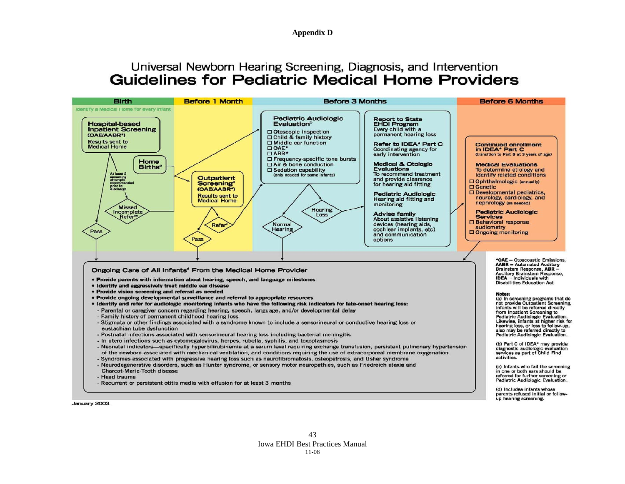**Appendix D** 

### Universal Newborn Hearing Screening, Diagnosis, and Intervention **Guidelines for Pediatric Medical Home Providers**

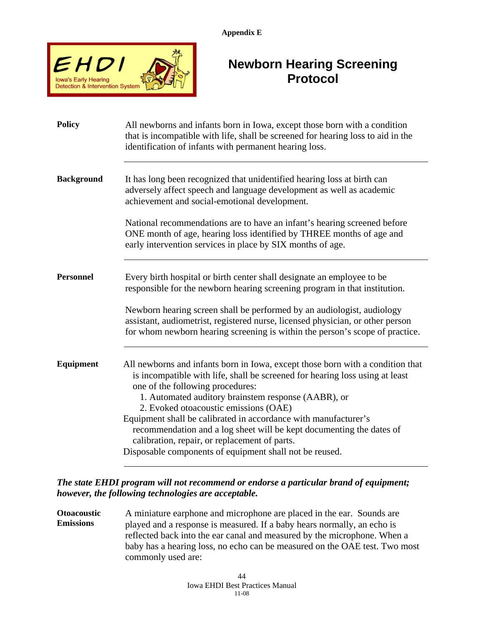

## **Newborn Hearing Screening Protocol**

| <b>Policy</b>     | All newborns and infants born in Iowa, except those born with a condition<br>that is incompatible with life, shall be screened for hearing loss to aid in the<br>identification of infants with permanent hearing loss.                                                                            |  |  |
|-------------------|----------------------------------------------------------------------------------------------------------------------------------------------------------------------------------------------------------------------------------------------------------------------------------------------------|--|--|
| <b>Background</b> | It has long been recognized that unidentified hearing loss at birth can<br>adversely affect speech and language development as well as academic<br>achievement and social-emotional development.                                                                                                   |  |  |
|                   | National recommendations are to have an infant's hearing screened before<br>ONE month of age, hearing loss identified by THREE months of age and<br>early intervention services in place by SIX months of age.                                                                                     |  |  |
| <b>Personnel</b>  | Every birth hospital or birth center shall designate an employee to be<br>responsible for the newborn hearing screening program in that institution.                                                                                                                                               |  |  |
|                   | Newborn hearing screen shall be performed by an audiologist, audiology<br>assistant, audiometrist, registered nurse, licensed physician, or other person<br>for whom newborn hearing screening is within the person's scope of practice.                                                           |  |  |
| Equipment         | All newborns and infants born in Iowa, except those born with a condition that<br>is incompatible with life, shall be screened for hearing loss using at least<br>one of the following procedures:<br>1. Automated auditory brainstem response (AABR), or<br>2. Evoked otoacoustic emissions (OAE) |  |  |
|                   | Equipment shall be calibrated in accordance with manufacturer's<br>recommendation and a log sheet will be kept documenting the dates of<br>calibration, repair, or replacement of parts.<br>Disposable components of equipment shall not be reused.                                                |  |  |

*The state EHDI program will not recommend or endorse a particular brand of equipment; however, the following technologies are acceptable.* 

**Otoacoustic Emissions**  A miniature earphone and microphone are placed in the ear. Sounds are played and a response is measured. If a baby hears normally, an echo is reflected back into the ear canal and measured by the microphone. When a baby has a hearing loss, no echo can be measured on the OAE test. Two most commonly used are: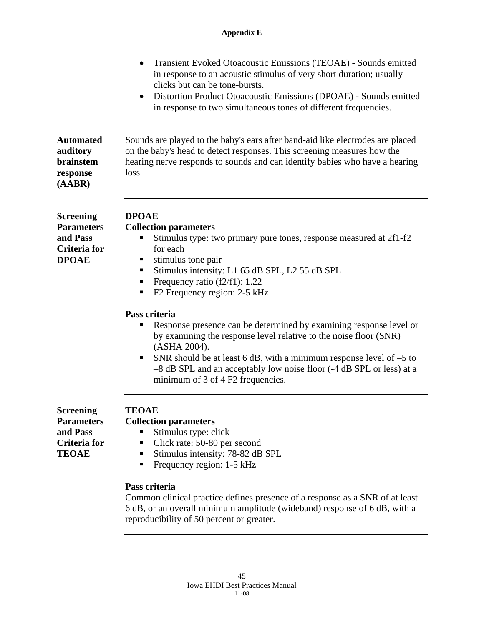#### **Appendix E**

|                                                                                                                                                                                                                                                                                                                      | Transient Evoked Otoacoustic Emissions (TEOAE) - Sounds emitted<br>in response to an acoustic stimulus of very short duration; usually<br>clicks but can be tone-bursts.<br>Distortion Product Otoacoustic Emissions (DPOAE) - Sounds emitted<br>in response to two simultaneous tones of different frequencies.                                                    |
|----------------------------------------------------------------------------------------------------------------------------------------------------------------------------------------------------------------------------------------------------------------------------------------------------------------------|---------------------------------------------------------------------------------------------------------------------------------------------------------------------------------------------------------------------------------------------------------------------------------------------------------------------------------------------------------------------|
| <b>Automated</b><br>Sounds are played to the baby's ears after band-aid like electrodes are placed<br>on the baby's head to detect responses. This screening measures how the<br>auditory<br>hearing nerve responds to sounds and can identify babies who have a hearing<br>brainstem<br>loss.<br>response<br>(AABR) |                                                                                                                                                                                                                                                                                                                                                                     |
| <b>Screening</b>                                                                                                                                                                                                                                                                                                     | <b>DPOAE</b>                                                                                                                                                                                                                                                                                                                                                        |
| <b>Parameters</b><br>and Pass<br><b>Criteria</b> for<br><b>DPOAE</b>                                                                                                                                                                                                                                                 | <b>Collection parameters</b><br>Stimulus type: two primary pure tones, response measured at 2f1-f2<br>٠<br>for each<br>stimulus tone pair<br>п<br>Stimulus intensity: L1 65 dB SPL, L2 55 dB SPL<br>٠<br>Frequency ratio $(f2/f1)$ : 1.22<br>п<br>F2 Frequency region: 2-5 kHz<br>٠                                                                                 |
|                                                                                                                                                                                                                                                                                                                      | Pass criteria<br>Response presence can be determined by examining response level or<br>by examining the response level relative to the noise floor (SNR)<br>(ASHA 2004).<br>SNR should be at least 6 dB, with a minimum response level of $-5$ to<br>п<br>-8 dB SPL and an acceptably low noise floor (-4 dB SPL or less) at a<br>minimum of 3 of 4 F2 frequencies. |
| <b>Screening</b><br><b>Parameters</b><br>and Pass<br><b>Criteria</b> for<br><b>TEOAE</b>                                                                                                                                                                                                                             | <b>TEOAE</b><br><b>Collection parameters</b><br>Stimulus type: click<br>Click rate: 50-80 per second<br>п<br>Stimulus intensity: 78-82 dB SPL<br>Frequency region: 1-5 kHz                                                                                                                                                                                          |
|                                                                                                                                                                                                                                                                                                                      | Pass criteria                                                                                                                                                                                                                                                                                                                                                       |

Common clinical practice defines presence of a response as a SNR of at least 6 dB, or an overall minimum amplitude (wideband) response of 6 dB, with a reproducibility of 50 percent or greater.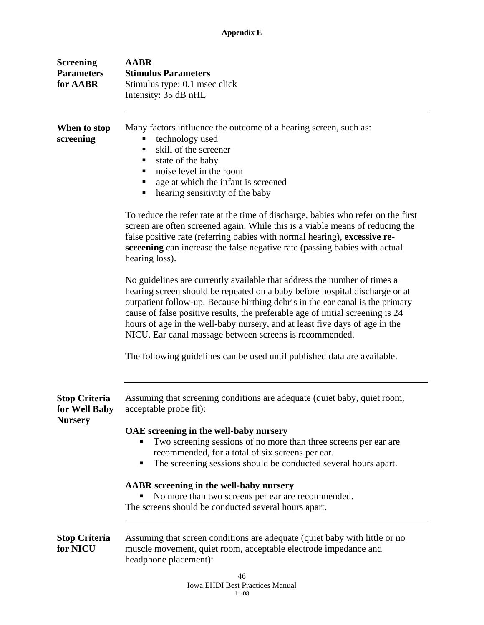#### **Appendix E**

| <b>Screening</b><br><b>Parameters</b><br>for AABR       | <b>AABR</b><br><b>Stimulus Parameters</b><br>Stimulus type: 0.1 msec click<br>Intensity: 35 dB nHL                                                                                                                                                                                                                                                                                                                                                                   |  |
|---------------------------------------------------------|----------------------------------------------------------------------------------------------------------------------------------------------------------------------------------------------------------------------------------------------------------------------------------------------------------------------------------------------------------------------------------------------------------------------------------------------------------------------|--|
| When to stop<br>screening                               | Many factors influence the outcome of a hearing screen, such as:<br>technology used<br>skill of the screener<br>п<br>state of the baby<br>п<br>noise level in the room<br>п<br>age at which the infant is screened<br>п<br>hearing sensitivity of the baby<br>п                                                                                                                                                                                                      |  |
|                                                         | To reduce the refer rate at the time of discharge, babies who refer on the first<br>screen are often screened again. While this is a viable means of reducing the<br>false positive rate (referring babies with normal hearing), excessive re-<br>screening can increase the false negative rate (passing babies with actual<br>hearing loss).                                                                                                                       |  |
|                                                         | No guidelines are currently available that address the number of times a<br>hearing screen should be repeated on a baby before hospital discharge or at<br>outpatient follow-up. Because birthing debris in the ear canal is the primary<br>cause of false positive results, the preferable age of initial screening is 24<br>hours of age in the well-baby nursery, and at least five days of age in the<br>NICU. Ear canal massage between screens is recommended. |  |
|                                                         | The following guidelines can be used until published data are available.                                                                                                                                                                                                                                                                                                                                                                                             |  |
| <b>Stop Criteria</b><br>for Well Baby<br><b>Nursery</b> | Assuming that screening conditions are adequate (quiet baby, quiet room,<br>acceptable probe fit):                                                                                                                                                                                                                                                                                                                                                                   |  |
|                                                         | OAE screening in the well-baby nursery<br>Two screening sessions of no more than three screens per ear are<br>recommended, for a total of six screens per ear.<br>The screening sessions should be conducted several hours apart.                                                                                                                                                                                                                                    |  |
|                                                         | <b>AABR</b> screening in the well-baby nursery<br>No more than two screens per ear are recommended.<br>The screens should be conducted several hours apart.                                                                                                                                                                                                                                                                                                          |  |
| <b>Stop Criteria</b><br>for NICU                        | Assuming that screen conditions are adequate (quiet baby with little or no<br>muscle movement, quiet room, acceptable electrode impedance and<br>headphone placement):                                                                                                                                                                                                                                                                                               |  |
|                                                         | 46                                                                                                                                                                                                                                                                                                                                                                                                                                                                   |  |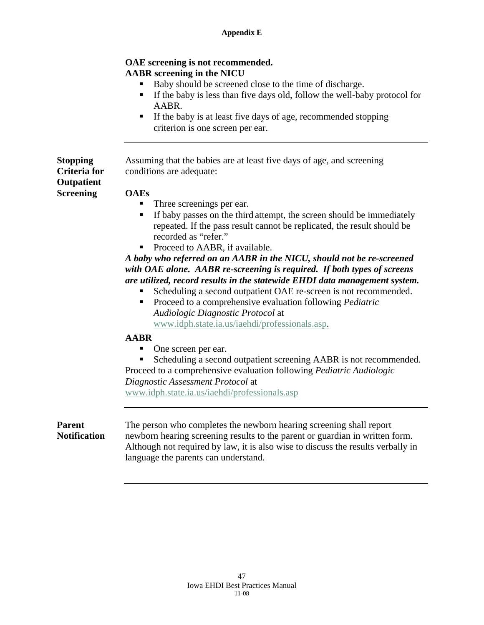#### **OAE screening is not recommended. AABR screening in the NICU**

- Baby should be screened close to the time of discharge.
- If the baby is less than five days old, follow the well-baby protocol for AABR.
- If the baby is at least five days of age, recommended stopping criterion is one screen per ear.

Assuming that the babies are at least five days of age, and screening conditions are adequate:

### **OAEs**

**Stopping Criteria for Outpatient Screening** 

- Three screenings per ear.
- If baby passes on the third attempt, the screen should be immediately repeated. If the pass result cannot be replicated, the result should be recorded as "refer."
- Proceed to AABR, if available.

#### *A baby who referred on an AABR in the NICU, should not be re-screened with OAE alone. AABR re-screening is required. If both types of screens are utilized, record results in the statewide EHDI data management system.*

- Scheduling a second outpatient OAE re-screen is not recommended.
- Proceed to a comprehensive evaluation following *Pediatric Audiologic Diagnostic Protocol* at www.idph.state.ia.us/iaehdi/professionals.asp.

#### **AABR**

- One screen per ear.
- Scheduling a second outpatient screening AABR is not recommended. Proceed to a comprehensive evaluation following *Pediatric Audiologic Diagnostic Assessment Protocol* at www.idph.state.ia.us/iaehdi/professionals.asp

**Parent Notification**  The person who completes the newborn hearing screening shall report newborn hearing screening results to the parent or guardian in written form. Although not required by law, it is also wise to discuss the results verbally in language the parents can understand.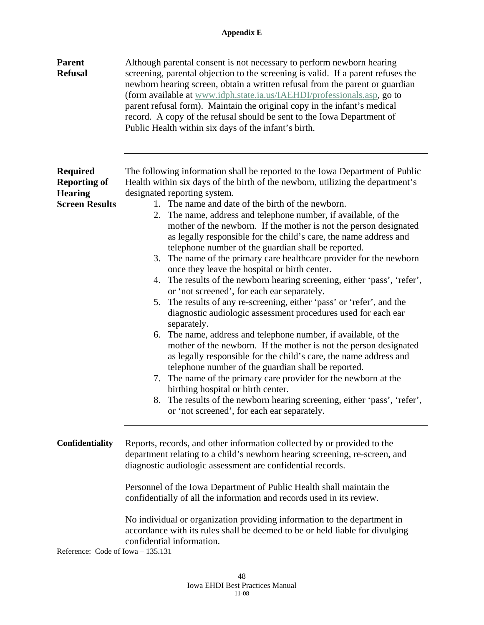#### **Appendix E**

| <b>Parent</b><br><b>Refusal</b>                                                   | Although parental consent is not necessary to perform newborn hearing<br>screening, parental objection to the screening is valid. If a parent refuses the<br>newborn hearing screen, obtain a written refusal from the parent or guardian<br>(form available at www.idph.state.ia.us/IAEHDI/professionals.asp, go to<br>parent refusal form). Maintain the original copy in the infant's medical<br>record. A copy of the refusal should be sent to the Iowa Department of<br>Public Health within six days of the infant's birth.                                                                                                                                                                                                                                                                                                                                                                                                                                                                                                                                                                                                                                                                                                                                                                                                                                                                                                                               |  |  |  |
|-----------------------------------------------------------------------------------|------------------------------------------------------------------------------------------------------------------------------------------------------------------------------------------------------------------------------------------------------------------------------------------------------------------------------------------------------------------------------------------------------------------------------------------------------------------------------------------------------------------------------------------------------------------------------------------------------------------------------------------------------------------------------------------------------------------------------------------------------------------------------------------------------------------------------------------------------------------------------------------------------------------------------------------------------------------------------------------------------------------------------------------------------------------------------------------------------------------------------------------------------------------------------------------------------------------------------------------------------------------------------------------------------------------------------------------------------------------------------------------------------------------------------------------------------------------|--|--|--|
| <b>Required</b><br><b>Reporting of</b><br><b>Hearing</b><br><b>Screen Results</b> | The following information shall be reported to the Iowa Department of Public<br>Health within six days of the birth of the newborn, utilizing the department's<br>designated reporting system.<br>The name and date of the birth of the newborn.<br>1.<br>The name, address and telephone number, if available, of the<br>2.<br>mother of the newborn. If the mother is not the person designated<br>as legally responsible for the child's care, the name address and<br>telephone number of the guardian shall be reported.<br>The name of the primary care healthcare provider for the newborn<br>3.<br>once they leave the hospital or birth center.<br>The results of the newborn hearing screening, either 'pass', 'refer',<br>4.<br>or 'not screened', for each ear separately.<br>The results of any re-screening, either 'pass' or 'refer', and the<br>5.<br>diagnostic audiologic assessment procedures used for each ear<br>separately.<br>The name, address and telephone number, if available, of the<br>6.<br>mother of the newborn. If the mother is not the person designated<br>as legally responsible for the child's care, the name address and<br>telephone number of the guardian shall be reported.<br>7. The name of the primary care provider for the newborn at the<br>birthing hospital or birth center.<br>The results of the newborn hearing screening, either 'pass', 'refer',<br>8.<br>or 'not screened', for each ear separately. |  |  |  |
| Confidentiality                                                                   | Reports, records, and other information collected by or provided to the<br>department relating to a child's newborn hearing screening, re-screen, and<br>diagnostic audiologic assessment are confidential records.<br>Personnel of the Iowa Department of Public Health shall maintain the<br>confidentially of all the information and records used in its review.<br>No individual or organization providing information to the department in                                                                                                                                                                                                                                                                                                                                                                                                                                                                                                                                                                                                                                                                                                                                                                                                                                                                                                                                                                                                                 |  |  |  |
| Reference: Code of Iowa - 135.131                                                 | accordance with its rules shall be deemed to be or held liable for divulging<br>confidential information.                                                                                                                                                                                                                                                                                                                                                                                                                                                                                                                                                                                                                                                                                                                                                                                                                                                                                                                                                                                                                                                                                                                                                                                                                                                                                                                                                        |  |  |  |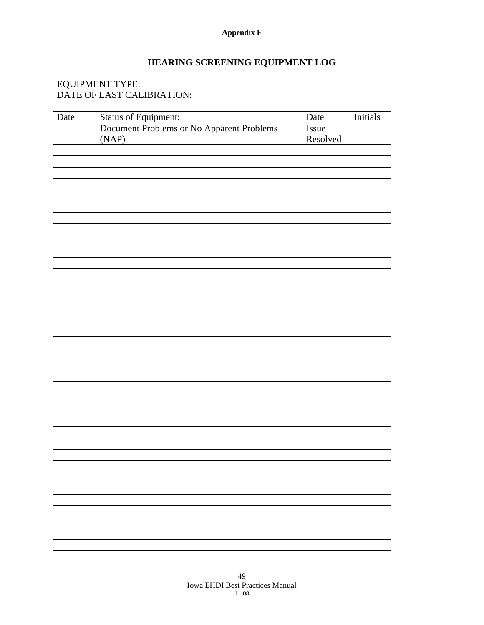#### **Appendix F**

### **HEARING SCREENING EQUIPMENT LOG**

#### EQUIPMENT TYPE: DATE OF LAST CALIBRATION:

| Date | Status of Equipment:<br>Document Problems or No Apparent Problems | Date     | <b>Initials</b> |
|------|-------------------------------------------------------------------|----------|-----------------|
|      |                                                                   | Issue    |                 |
|      | (NAP)                                                             | Resolved |                 |
|      |                                                                   |          |                 |
|      |                                                                   |          |                 |
|      |                                                                   |          |                 |
|      |                                                                   |          |                 |
|      |                                                                   |          |                 |
|      |                                                                   |          |                 |
|      |                                                                   |          |                 |
|      |                                                                   |          |                 |
|      |                                                                   |          |                 |
|      |                                                                   |          |                 |
|      |                                                                   |          |                 |
|      |                                                                   |          |                 |
|      |                                                                   |          |                 |
|      |                                                                   |          |                 |
|      |                                                                   |          |                 |
|      |                                                                   |          |                 |
|      |                                                                   |          |                 |
|      |                                                                   |          |                 |
|      |                                                                   |          |                 |
|      |                                                                   |          |                 |
|      |                                                                   |          |                 |
|      |                                                                   |          |                 |
|      |                                                                   |          |                 |
|      |                                                                   |          |                 |
|      |                                                                   |          |                 |
|      |                                                                   |          |                 |
|      |                                                                   |          |                 |
|      |                                                                   |          |                 |
|      |                                                                   |          |                 |
|      |                                                                   |          |                 |
|      |                                                                   |          |                 |
|      |                                                                   |          |                 |
|      |                                                                   |          |                 |
|      |                                                                   |          |                 |
|      |                                                                   |          |                 |
|      |                                                                   |          |                 |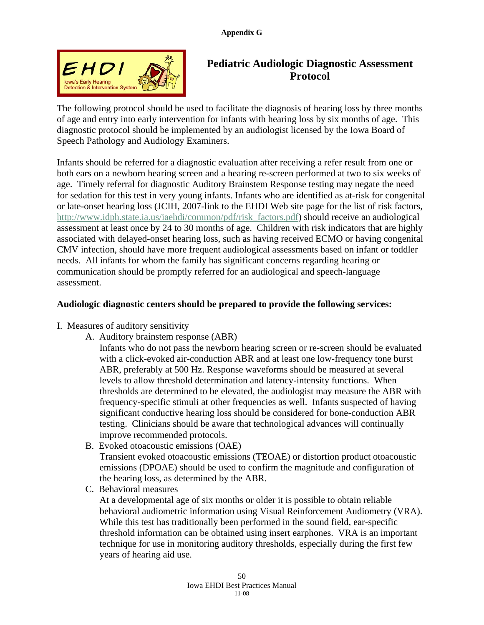

### **Pediatric Audiologic Diagnostic Assessment Protocol**

The following protocol should be used to facilitate the diagnosis of hearing loss by three months of age and entry into early intervention for infants with hearing loss by six months of age. This diagnostic protocol should be implemented by an audiologist licensed by the Iowa Board of Speech Pathology and Audiology Examiners.

Infants should be referred for a diagnostic evaluation after receiving a refer result from one or both ears on a newborn hearing screen and a hearing re-screen performed at two to six weeks of age. Timely referral for diagnostic Auditory Brainstem Response testing may negate the need for sedation for this test in very young infants. Infants who are identified as at-risk for congenital or late-onset hearing loss (JCIH, 2007-link to the EHDI Web site page for the list of risk factors, http://www.idph.state.ia.us/iaehdi/common/pdf/risk\_factors.pdf) should receive an audiological assessment at least once by 24 to 30 months of age. Children with risk indicators that are highly associated with delayed-onset hearing loss, such as having received ECMO or having congenital CMV infection, should have more frequent audiological assessments based on infant or toddler needs. All infants for whom the family has significant concerns regarding hearing or communication should be promptly referred for an audiological and speech-language assessment.

#### **Audiologic diagnostic centers should be prepared to provide the following services:**

- I. Measures of auditory sensitivity
	- A. Auditory brainstem response (ABR)
		- Infants who do not pass the newborn hearing screen or re-screen should be evaluated with a click-evoked air-conduction ABR and at least one low-frequency tone burst ABR, preferably at 500 Hz. Response waveforms should be measured at several levels to allow threshold determination and latency-intensity functions. When thresholds are determined to be elevated, the audiologist may measure the ABR with frequency-specific stimuli at other frequencies as well. Infants suspected of having significant conductive hearing loss should be considered for bone-conduction ABR testing. Clinicians should be aware that technological advances will continually improve recommended protocols.
	- B. Evoked otoacoustic emissions (OAE) Transient evoked otoacoustic emissions (TEOAE) or distortion product otoacoustic emissions (DPOAE) should be used to confirm the magnitude and configuration of the hearing loss, as determined by the ABR.
	- C. Behavioral measures

At a developmental age of six months or older it is possible to obtain reliable behavioral audiometric information using Visual Reinforcement Audiometry (VRA). While this test has traditionally been performed in the sound field, ear-specific threshold information can be obtained using insert earphones. VRA is an important technique for use in monitoring auditory thresholds, especially during the first few years of hearing aid use.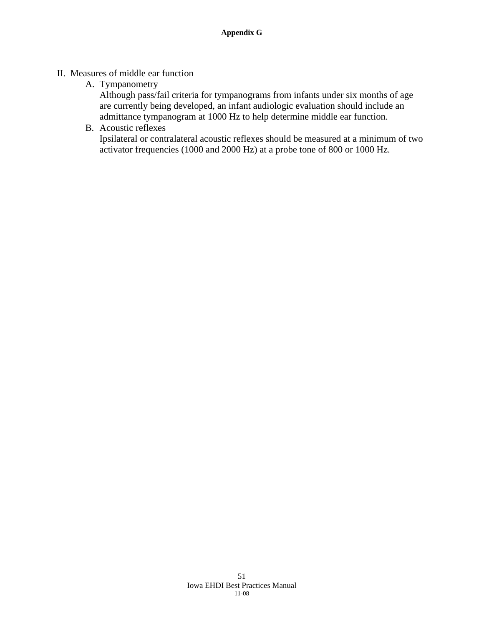- II. Measures of middle ear function
	- A. Tympanometry

Although pass/fail criteria for tympanograms from infants under six months of age are currently being developed, an infant audiologic evaluation should include an admittance tympanogram at 1000 Hz to help determine middle ear function.

B. Acoustic reflexes

Ipsilateral or contralateral acoustic reflexes should be measured at a minimum of two activator frequencies (1000 and 2000 Hz) at a probe tone of 800 or 1000 Hz.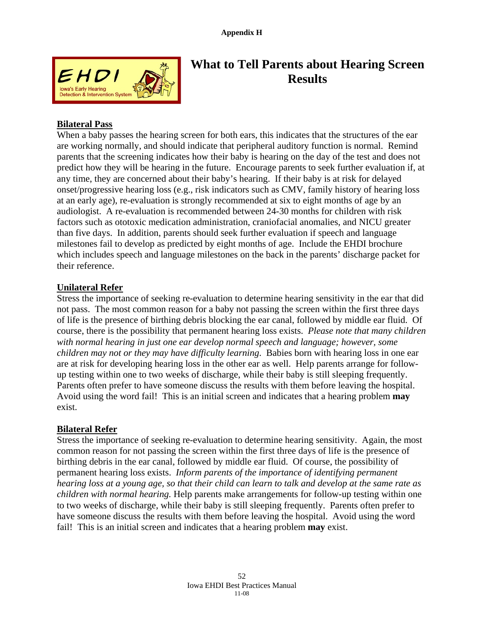

### **What to Tell Parents about Hearing Screen Results**

### **Bilateral Pass**

When a baby passes the hearing screen for both ears, this indicates that the structures of the ear are working normally, and should indicate that peripheral auditory function is normal. Remind parents that the screening indicates how their baby is hearing on the day of the test and does not predict how they will be hearing in the future. Encourage parents to seek further evaluation if, at any time, they are concerned about their baby's hearing. If their baby is at risk for delayed onset/progressive hearing loss (e.g., risk indicators such as CMV, family history of hearing loss at an early age), re-evaluation is strongly recommended at six to eight months of age by an audiologist. A re-evaluation is recommended between 24-30 months for children with risk factors such as ototoxic medication administration, craniofacial anomalies, and NICU greater than five days. In addition, parents should seek further evaluation if speech and language milestones fail to develop as predicted by eight months of age. Include the EHDI brochure which includes speech and language milestones on the back in the parents' discharge packet for their reference.

#### **Unilateral Refer**

Stress the importance of seeking re-evaluation to determine hearing sensitivity in the ear that did not pass. The most common reason for a baby not passing the screen within the first three days of life is the presence of birthing debris blocking the ear canal, followed by middle ear fluid. Of course, there is the possibility that permanent hearing loss exists. *Please note that many children with normal hearing in just one ear develop normal speech and language; however, some children may not or they may have difficulty learning*. Babies born with hearing loss in one ear are at risk for developing hearing loss in the other ear as well. Help parents arrange for followup testing within one to two weeks of discharge, while their baby is still sleeping frequently. Parents often prefer to have someone discuss the results with them before leaving the hospital. Avoid using the word fail! This is an initial screen and indicates that a hearing problem **may**  exist.

#### **Bilateral Refer**

Stress the importance of seeking re-evaluation to determine hearing sensitivity. Again, the most common reason for not passing the screen within the first three days of life is the presence of birthing debris in the ear canal, followed by middle ear fluid. Of course, the possibility of permanent hearing loss exists. *Inform parents of the importance of identifying permanent hearing loss at a young age, so that their child can learn to talk and develop at the same rate as children with normal hearing.* Help parents make arrangements for follow-up testing within one to two weeks of discharge, while their baby is still sleeping frequently. Parents often prefer to have someone discuss the results with them before leaving the hospital. Avoid using the word fail! This is an initial screen and indicates that a hearing problem **may** exist.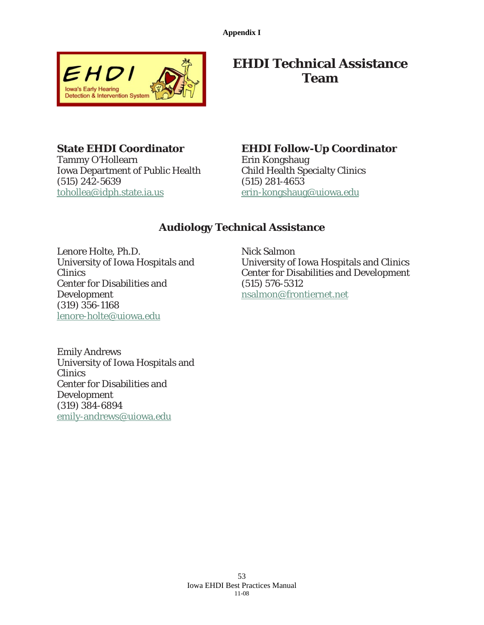

# **EHDI Technical Assistance Team**

### **State EHDI Coordinator**

Tammy O'Hollearn Iowa Department of Public Health (515) 242-5639 tohollea@idph.state.ia.us

### **EHDI Follow-Up Coordinator**

Erin Kongshaug Child Health Specialty Clinics (515) 281-4653 erin-kongshaug@uiowa.edu

### **Audiology Technical Assistance**

Lenore Holte, Ph.D. University of Iowa Hospitals and Clinics Center for Disabilities and Development (319) 356-1168 lenore-holte@uiowa.edu

Nick Salmon University of Iowa Hospitals and Clinics Center for Disabilities and Development (515) 576-5312 nsalmon@frontiernet.net

Emily Andrews University of Iowa Hospitals and Clinics Center for Disabilities and Development (319) 384-6894 emily-andrews@uiowa.edu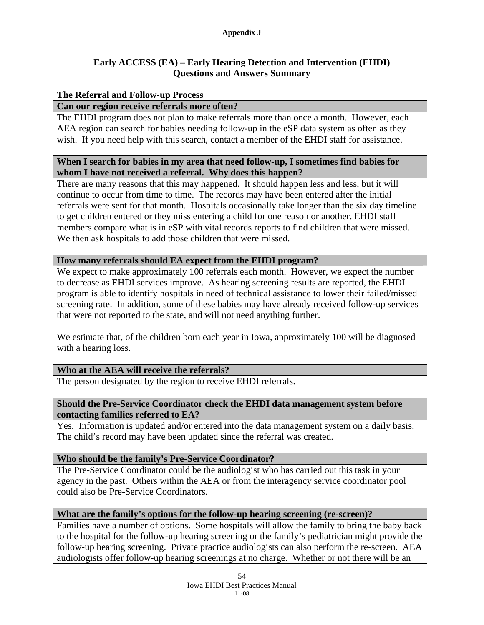#### **Appendix J**

#### **Early ACCESS (EA) – Early Hearing Detection and Intervention (EHDI) Questions and Answers Summary**

#### **The Referral and Follow-up Process**

#### **Can our region receive referrals more often?**

The EHDI program does not plan to make referrals more than once a month. However, each AEA region can search for babies needing follow-up in the eSP data system as often as they wish. If you need help with this search, contact a member of the EHDI staff for assistance.

#### **When I search for babies in my area that need follow-up, I sometimes find babies for whom I have not received a referral. Why does this happen?**

There are many reasons that this may happened. It should happen less and less, but it will continue to occur from time to time. The records may have been entered after the initial referrals were sent for that month. Hospitals occasionally take longer than the six day timeline to get children entered or they miss entering a child for one reason or another. EHDI staff members compare what is in eSP with vital records reports to find children that were missed. We then ask hospitals to add those children that were missed.

#### **How many referrals should EA expect from the EHDI program?**

We expect to make approximately 100 referrals each month. However, we expect the number to decrease as EHDI services improve. As hearing screening results are reported, the EHDI program is able to identify hospitals in need of technical assistance to lower their failed/missed screening rate. In addition, some of these babies may have already received follow-up services that were not reported to the state, and will not need anything further.

We estimate that, of the children born each year in Iowa, approximately 100 will be diagnosed with a hearing loss.

#### **Who at the AEA will receive the referrals?**

The person designated by the region to receive EHDI referrals.

#### **Should the Pre-Service Coordinator check the EHDI data management system before contacting families referred to EA?**

Yes. Information is updated and/or entered into the data management system on a daily basis. The child's record may have been updated since the referral was created.

#### **Who should be the family's Pre-Service Coordinator?**

The Pre-Service Coordinator could be the audiologist who has carried out this task in your agency in the past. Others within the AEA or from the interagency service coordinator pool could also be Pre-Service Coordinators.

#### **What are the family's options for the follow-up hearing screening (re-screen)?**

Families have a number of options. Some hospitals will allow the family to bring the baby back to the hospital for the follow-up hearing screening or the family's pediatrician might provide the follow-up hearing screening. Private practice audiologists can also perform the re-screen. AEA audiologists offer follow-up hearing screenings at no charge. Whether or not there will be an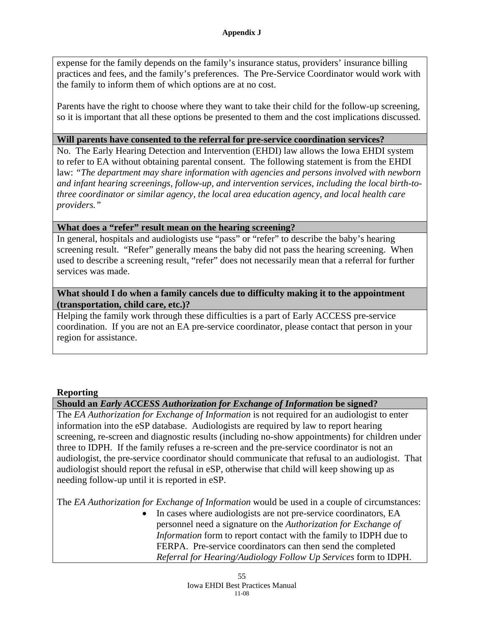expense for the family depends on the family's insurance status, providers' insurance billing practices and fees, and the family's preferences. The Pre-Service Coordinator would work with the family to inform them of which options are at no cost.

Parents have the right to choose where they want to take their child for the follow-up screening, so it is important that all these options be presented to them and the cost implications discussed.

#### **Will parents have consented to the referral for pre-service coordination services?**

No. The Early Hearing Detection and Intervention (EHDI) law allows the Iowa EHDI system to refer to EA without obtaining parental consent. The following statement is from the EHDI law: "The department may share information with agencies and persons involved with newborn *and infant hearing screenings, follow-up, and intervention services, including the local birth-tothree coordinator or similar agency, the local area education agency, and local health care providers."*

#### **What does a "refer" result mean on the hearing screening?**

In general, hospitals and audiologists use "pass" or "refer" to describe the baby's hearing screening result. "Refer" generally means the baby did not pass the hearing screening. When used to describe a screening result, "refer" does not necessarily mean that a referral for further services was made.

#### **What should I do when a family cancels due to difficulty making it to the appointment (transportation, child care, etc.)?**

Helping the family work through these difficulties is a part of Early ACCESS pre-service coordination. If you are not an EA pre-service coordinator, please contact that person in your region for assistance.

### **Reporting**

### **Should an** *Early ACCESS Authorization for Exchange of Information* **be signed?**

The *EA Authorization for Exchange of Information* is not required for an audiologist to enter information into the eSP database. Audiologists are required by law to report hearing screening, re-screen and diagnostic results (including no-show appointments) for children under three to IDPH. If the family refuses a re-screen and the pre-service coordinator is not an audiologist, the pre-service coordinator should communicate that refusal to an audiologist. That audiologist should report the refusal in eSP, otherwise that child will keep showing up as needing follow-up until it is reported in eSP.

The *EA Authorization for Exchange of Information* would be used in a couple of circumstances:

• In cases where audiologists are not pre-service coordinators, EA personnel need a signature on the *Authorization for Exchange of Information* form to report contact with the family to IDPH due to FERPA. Pre-service coordinators can then send the completed *Referral for Hearing/Audiology Follow Up Services* form to IDPH.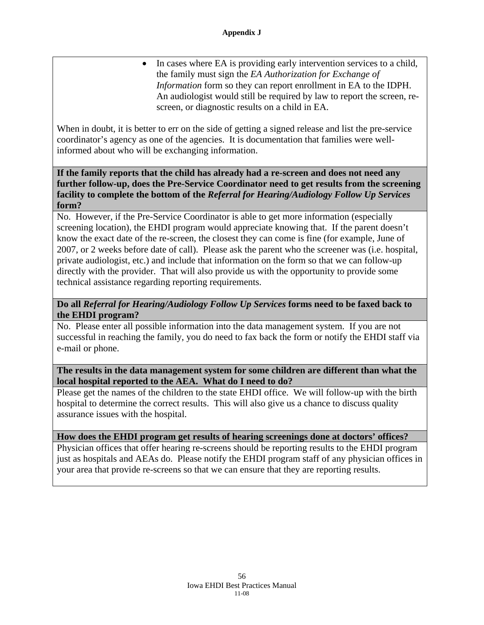• In cases where EA is providing early intervention services to a child, the family must sign the *EA Authorization for Exchange of Information* form so they can report enrollment in EA to the IDPH. An audiologist would still be required by law to report the screen, rescreen, or diagnostic results on a child in EA.

When in doubt, it is better to err on the side of getting a signed release and list the pre-service coordinator's agency as one of the agencies. It is documentation that families were wellinformed about who will be exchanging information.

#### **If the family reports that the child has already had a re-screen and does not need any further follow-up, does the Pre-Service Coordinator need to get results from the screening facility to complete the bottom of the** *Referral for Hearing/Audiology Follow Up Services*  **form?**

No. However, if the Pre-Service Coordinator is able to get more information (especially screening location), the EHDI program would appreciate knowing that. If the parent doesn't know the exact date of the re-screen, the closest they can come is fine (for example, June of 2007, or 2 weeks before date of call). Please ask the parent who the screener was (i.e. hospital, private audiologist, etc.) and include that information on the form so that we can follow-up directly with the provider. That will also provide us with the opportunity to provide some technical assistance regarding reporting requirements.

#### **Do all** *Referral for Hearing/Audiology Follow Up Services* **forms need to be faxed back to the EHDI program?**

No.Please enter all possible information into the data management system. If you are not successful in reaching the family, you do need to fax back the form or notify the EHDI staff via e-mail or phone.

#### **The results in the data management system for some children are different than what the local hospital reported to the AEA. What do I need to do?**

Please get the names of the children to the state EHDI office. We will follow-up with the birth hospital to determine the correct results. This will also give us a chance to discuss quality assurance issues with the hospital.

#### **How does the EHDI program get results of hearing screenings done at doctors' offices?**

Physician offices that offer hearing re-screens should be reporting results to the EHDI program just as hospitals and AEAs do. Please notify the EHDI program staff of any physician offices in your area that provide re-screens so that we can ensure that they are reporting results.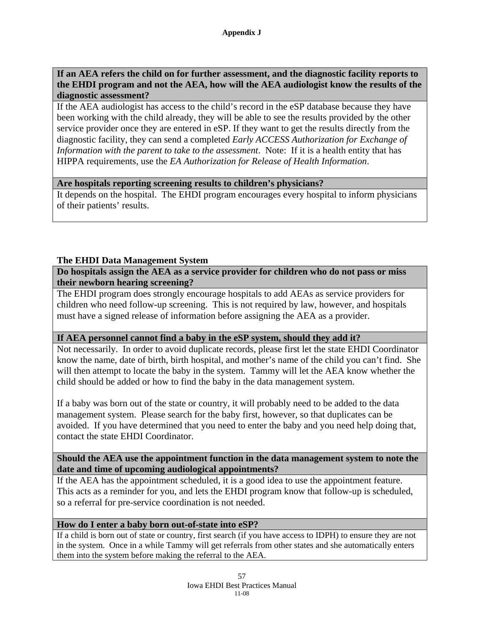**If an AEA refers the child on for further assessment, and the diagnostic facility reports to the EHDI program and not the AEA, how will the AEA audiologist know the results of the diagnostic assessment?** 

If the AEA audiologist has access to the child's record in the eSP database because they have been working with the child already, they will be able to see the results provided by the other service provider once they are entered in eSP. If they want to get the results directly from the diagnostic facility, they can send a completed *Early ACCESS Authorization for Exchange of Information with the parent to take to the assessment*. Note: If it is a health entity that has HIPPA requirements, use the *EA Authorization for Release of Health Information*.

#### **Are hospitals reporting screening results to children's physicians?**

It depends on the hospital. The EHDI program encourages every hospital to inform physicians of their patients' results.

#### **The EHDI Data Management System**

**Do hospitals assign the AEA as a service provider for children who do not pass or miss their newborn hearing screening?** 

The EHDI program does strongly encourage hospitals to add AEAs as service providers for children who need follow-up screening. This is not required by law, however, and hospitals must have a signed release of information before assigning the AEA as a provider.

#### **If AEA personnel cannot find a baby in the eSP system, should they add it?**

Not necessarily. In order to avoid duplicate records, please first let the state EHDI Coordinator know the name, date of birth, birth hospital, and mother's name of the child you can't find. She will then attempt to locate the baby in the system. Tammy will let the AEA know whether the child should be added or how to find the baby in the data management system.

If a baby was born out of the state or country, it will probably need to be added to the data management system. Please search for the baby first, however, so that duplicates can be avoided. If you have determined that you need to enter the baby and you need help doing that, contact the state EHDI Coordinator.

**Should the AEA use the appointment function in the data management system to note the date and time of upcoming audiological appointments?** 

If the AEA has the appointment scheduled, it is a good idea to use the appointment feature. This acts as a reminder for you, and lets the EHDI program know that follow-up is scheduled, so a referral for pre-service coordination is not needed.

#### **How do I enter a baby born out-of-state into eSP?**

If a child is born out of state or country, first search (if you have access to IDPH) to ensure they are not in the system. Once in a while Tammy will get referrals from other states and she automatically enters them into the system before making the referral to the AEA.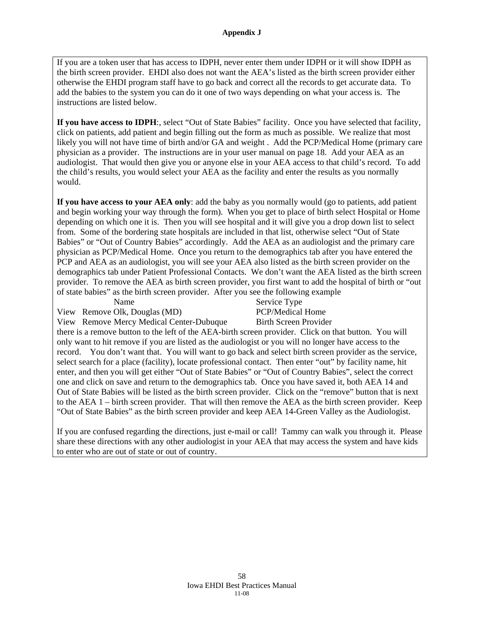If you are a token user that has access to IDPH, never enter them under IDPH or it will show IDPH as the birth screen provider. EHDI also does not want the AEA's listed as the birth screen provider either otherwise the EHDI program staff have to go back and correct all the records to get accurate data. To add the babies to the system you can do it one of two ways depending on what your access is. The instructions are listed below.

**If you have access to IDPH**:, select "Out of State Babies" facility. Once you have selected that facility, click on patients, add patient and begin filling out the form as much as possible. We realize that most likely you will not have time of birth and/or GA and weight . Add the PCP/Medical Home (primary care physician as a provider. The instructions are in your user manual on page 18. Add your AEA as an audiologist. That would then give you or anyone else in your AEA access to that child's record. To add the child's results, you would select your AEA as the facility and enter the results as you normally would.

**If you have access to your AEA only**: add the baby as you normally would (go to patients, add patient and begin working your way through the form). When you get to place of birth select Hospital or Home depending on which one it is. Then you will see hospital and it will give you a drop down list to select from. Some of the bordering state hospitals are included in that list, otherwise select "Out of State Babies" or "Out of Country Babies" accordingly. Add the AEA as an audiologist and the primary care physician as PCP/Medical Home. Once you return to the demographics tab after you have entered the PCP and AEA as an audiologist, you will see your AEA also listed as the birth screen provider on the demographics tab under Patient Professional Contacts. We don't want the AEA listed as the birth screen provider. To remove the AEA as birth screen provider, you first want to add the hospital of birth or "out of state babies" as the birth screen provider. After you see the following example

View Remove Olk, Douglas (MD) PCP/Medical Home

View Remove Mercy Medical Center-Dubuque Birth Screen Provider

Name Service Type

there is a remove button to the left of the AEA-birth screen provider. Click on that button. You will only want to hit remove if you are listed as the audiologist or you will no longer have access to the record. You don't want that. You will want to go back and select birth screen provider as the service, select search for a place (facility), locate professional contact. Then enter "out" by facility name, hit enter, and then you will get either "Out of State Babies" or "Out of Country Babies", select the correct one and click on save and return to the demographics tab. Once you have saved it, both AEA 14 and Out of State Babies will be listed as the birth screen provider. Click on the "remove" button that is next to the AEA 1 – birth screen provider. That will then remove the AEA as the birth screen provider. Keep "Out of State Babies" as the birth screen provider and keep AEA 14-Green Valley as the Audiologist.

If you are confused regarding the directions, just e-mail or call! Tammy can walk you through it. Please share these directions with any other audiologist in your AEA that may access the system and have kids to enter who are out of state or out of country.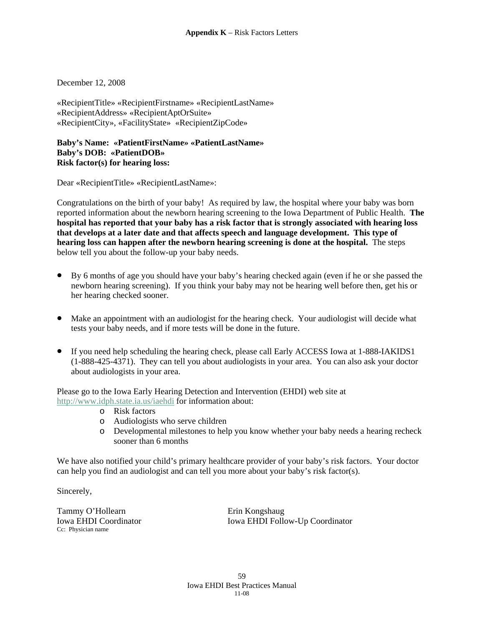December 12, 2008

«RecipientTitle» «RecipientFirstname» «RecipientLastName» «RecipientAddress» «RecipientAptOrSuite» «RecipientCity», «FacilityState» «RecipientZipCode»

**Baby's Name: «PatientFirstName» «PatientLastName» Baby's DOB: «PatientDOB» Risk factor(s) for hearing loss:** 

Dear «RecipientTitle» «RecipientLastName»:

Congratulations on the birth of your baby! As required by law, the hospital where your baby was born reported information about the newborn hearing screening to the Iowa Department of Public Health. **The hospital has reported that your baby has a risk factor that is strongly associated with hearing loss that develops at a later date and that affects speech and language development. This type of hearing loss can happen after the newborn hearing screening is done at the hospital.** The steps below tell you about the follow-up your baby needs.

- By 6 months of age you should have your baby's hearing checked again (even if he or she passed the newborn hearing screening). If you think your baby may not be hearing well before then, get his or her hearing checked sooner.
- Make an appointment with an audiologist for the hearing check. Your audiologist will decide what tests your baby needs, and if more tests will be done in the future.
- If you need help scheduling the hearing check, please call Early ACCESS Iowa at 1-888-IAKIDS1 (1-888-425-4371). They can tell you about audiologists in your area. You can also ask your doctor about audiologists in your area.

Please go to the Iowa Early Hearing Detection and Intervention (EHDI) web site at http://www.idph.state.ia.us/iaehdi for information about:

- o Risk factors
- o Audiologists who serve children
- o Developmental milestones to help you know whether your baby needs a hearing recheck sooner than 6 months

We have also notified your child's primary healthcare provider of your baby's risk factors. Your doctor can help you find an audiologist and can tell you more about your baby's risk factor(s).

Sincerely,

Tammy O'Hollearn Erin Kongshaug Cc: Physician name

Iowa EHDI Coordinator Iowa EHDI Follow-Up Coordinator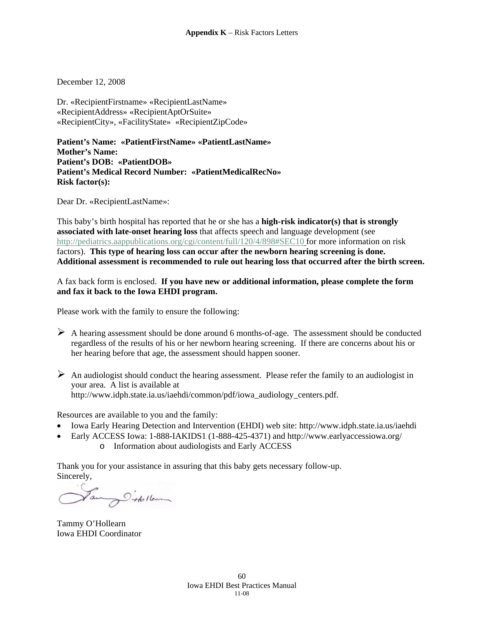December 12, 2008

Dr. «RecipientFirstname» «RecipientLastName» «RecipientAddress» «RecipientAptOrSuite» «RecipientCity», «FacilityState» «RecipientZipCode»

**Patient's Name: «PatientFirstName» «PatientLastName» Mother's Name: Patient's DOB: «PatientDOB» Patient's Medical Record Number: «PatientMedicalRecNo» Risk factor(s):** 

Dear Dr. «RecipientLastName»:

This baby's birth hospital has reported that he or she has a **high-risk indicator(s) that is strongly associated with late-onset hearing loss** that affects speech and language development (see http://pediatrics.aappublications.org/cgi/content/full/120/4/898#SEC10 for more information on risk factors). **This type of hearing loss can occur after the newborn hearing screening is done. Additional assessment is recommended to rule out hearing loss that occurred after the birth screen.**

A fax back form is enclosed. **If you have new or additional information, please complete the form and fax it back to the Iowa EHDI program.**

Please work with the family to ensure the following:

- $\triangleright$  A hearing assessment should be done around 6 months-of-age. The assessment should be conducted regardless of the results of his or her newborn hearing screening. If there are concerns about his or her hearing before that age, the assessment should happen sooner.
- $\triangleright$  An audiologist should conduct the hearing assessment. Please refer the family to an audiologist in your area. A list is available at http://www.idph.state.ia.us/iaehdi/common/pdf/iowa\_audiology\_centers.pdf.

Resources are available to you and the family:

- Iowa Early Hearing Detection and Intervention (EHDI) web site: http://www.idph.state.ia.us/iaehdi
- Early ACCESS Iowa: 1-888-IAKIDS1 (1-888-425-4371) and http://www.earlyaccessiowa.org/
	- o Information about audiologists and Early ACCESS

Thank you for your assistance in assuring that this baby gets necessary follow-up. Sincerely,

Jam D' Holleum

Tammy O'Hollearn Iowa EHDI Coordinator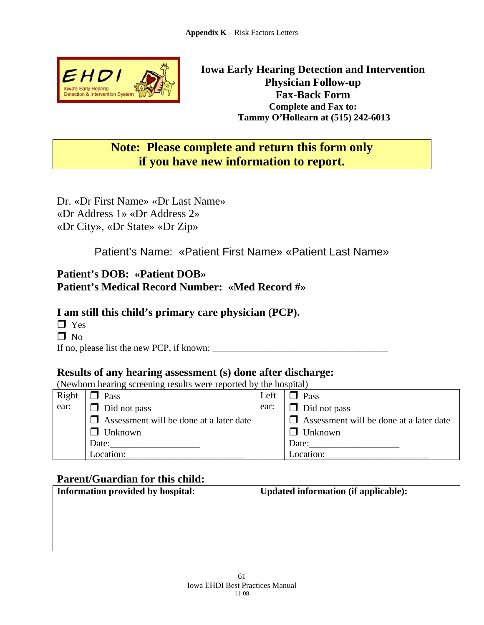

**Iowa Early Hearing Detection and Intervention Physician Follow-up Fax-Back Form Complete and Fax to: Tammy O'Hollearn at (515) 242-6013**

### **Note: Please complete and return this form only if you have new information to report.**

Dr. «Dr First Name» «Dr Last Name» «Dr Address 1» «Dr Address 2» «Dr City», «Dr State» «Dr Zip»

Patient's Name: «Patient First Name» «Patient Last Name»

### **Patient's DOB: «Patient DOB» Patient's Medical Record Number: «Med Record #»**

### **I am still this child's primary care physician (PCP).**

 $\Box$  Yes

 $\Box$  No

If no, please list the new PCP, if known: \_\_\_\_\_\_\_\_\_\_\_\_\_\_\_\_\_\_\_\_\_\_\_\_\_\_\_\_\_\_\_\_\_\_\_\_\_

### **Results of any hearing assessment (s) done after discharge:**

(Newborn hearing screening results were reported by the hospital)

| Right | Pass                                           | Left | $\Box$ Pass                                    |
|-------|------------------------------------------------|------|------------------------------------------------|
| ear:  | $\Box$ Did not pass                            | ear: | $\Box$ Did not pass                            |
|       | $\Box$ Assessment will be done at a later date |      | $\Box$ Assessment will be done at a later date |
|       | Unknown                                        |      | Unknown                                        |
|       | Date:                                          |      | Date:                                          |
|       | Location:                                      |      | Location:                                      |

### **Parent/Guardian for this child:**

| Information provided by hospital: | Updated information (if applicable): |  |
|-----------------------------------|--------------------------------------|--|
|                                   |                                      |  |
|                                   |                                      |  |
|                                   |                                      |  |
|                                   |                                      |  |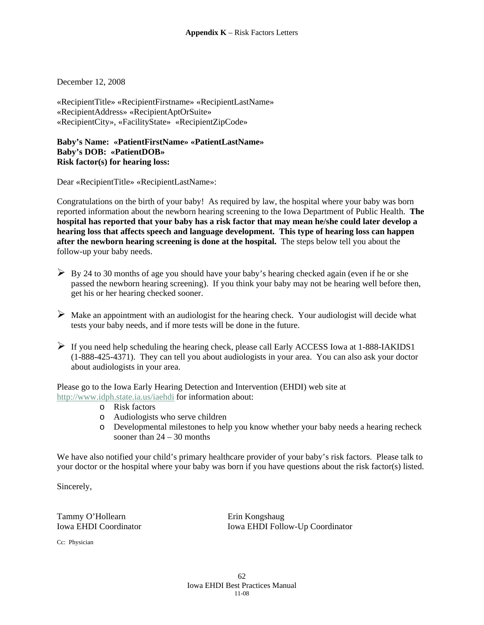December 12, 2008

«RecipientTitle» «RecipientFirstname» «RecipientLastName» «RecipientAddress» «RecipientAptOrSuite» «RecipientCity», «FacilityState» «RecipientZipCode»

**Baby's Name: «PatientFirstName» «PatientLastName» Baby's DOB: «PatientDOB» Risk factor(s) for hearing loss:** 

Dear «RecipientTitle» «RecipientLastName»:

Congratulations on the birth of your baby! As required by law, the hospital where your baby was born reported information about the newborn hearing screening to the Iowa Department of Public Health. **The hospital has reported that your baby has a risk factor that may mean he/she could later develop a hearing loss that affects speech and language development. This type of hearing loss can happen after the newborn hearing screening is done at the hospital.** The steps below tell you about the follow-up your baby needs.

- $\triangleright$  By 24 to 30 months of age you should have your baby's hearing checked again (even if he or she passed the newborn hearing screening). If you think your baby may not be hearing well before then, get his or her hearing checked sooner.
- $\triangleright$  Make an appointment with an audiologist for the hearing check. Your audiologist will decide what tests your baby needs, and if more tests will be done in the future.
- $\triangleright$  If you need help scheduling the hearing check, please call Early ACCESS Iowa at 1-888-IAKIDS1 (1-888-425-4371). They can tell you about audiologists in your area. You can also ask your doctor about audiologists in your area.

Please go to the Iowa Early Hearing Detection and Intervention (EHDI) web site at http://www.idph.state.ia.us/iaehdi for information about:

- o Risk factors
- o Audiologists who serve children
- o Developmental milestones to help you know whether your baby needs a hearing recheck sooner than 24 – 30 months

We have also notified your child's primary healthcare provider of your baby's risk factors. Please talk to your doctor or the hospital where your baby was born if you have questions about the risk factor(s) listed.

Sincerely,

Tammy O'Hollearn Erin Kongshaug

Iowa EHDI Coordinator Iowa EHDI Follow-Up Coordinator

Cc: Physician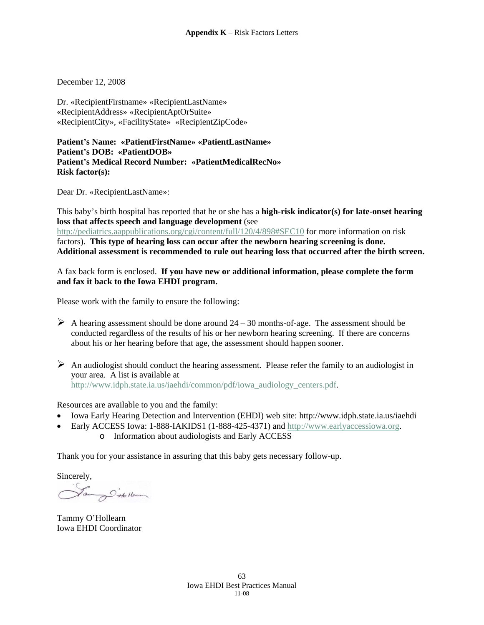December 12, 2008

Dr. «RecipientFirstname» «RecipientLastName» «RecipientAddress» «RecipientAptOrSuite» «RecipientCity», «FacilityState» «RecipientZipCode»

**Patient's Name: «PatientFirstName» «PatientLastName» Patient's DOB: «PatientDOB» Patient's Medical Record Number: «PatientMedicalRecNo» Risk factor(s):** 

Dear Dr. «RecipientLastName»:

This baby's birth hospital has reported that he or she has a **high-risk indicator(s) for late-onset hearing loss that affects speech and language development** (see http://pediatrics.aappublications.org/cgi/content/full/120/4/898#SEC10 for more information on risk factors). **This type of hearing loss can occur after the newborn hearing screening is done. Additional assessment is recommended to rule out hearing loss that occurred after the birth screen.** 

A fax back form is enclosed. **If you have new or additional information, please complete the form and fax it back to the Iowa EHDI program.**

Please work with the family to ensure the following:

- A hearing assessment should be done around  $24 30$  months-of-age. The assessment should be conducted regardless of the results of his or her newborn hearing screening. If there are concerns about his or her hearing before that age, the assessment should happen sooner.
- $\triangleright$  An audiologist should conduct the hearing assessment. Please refer the family to an audiologist in your area. A list is available at http://www.idph.state.ia.us/iaehdi/common/pdf/iowa\_audiology\_centers.pdf.

Resources are available to you and the family:

- Iowa Early Hearing Detection and Intervention (EHDI) web site: http://www.idph.state.ia.us/iaehdi
- Early ACCESS Iowa: 1-888-IAKIDS1 (1-888-425-4371) and http://www.earlyaccessiowa.org.
	- o Information about audiologists and Early ACCESS

Thank you for your assistance in assuring that this baby gets necessary follow-up.

 $Sineerely,$ <br> $Sanny$  its learn

Tammy O'Hollearn Iowa EHDI Coordinator